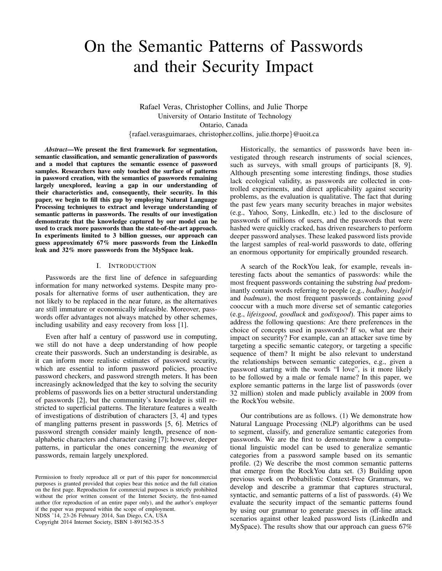# On the Semantic Patterns of Passwords and their Security Impact

Rafael Veras, Christopher Collins, and Julie Thorpe University of Ontario Institute of Technology Ontario, Canada

{rafael.verasguimaraes, christopher.collins, julie.thorpe}@uoit.ca

*Abstract*—We present the first framework for segmentation, semantic classification, and semantic generalization of passwords and a model that captures the semantic essence of password samples. Researchers have only touched the surface of patterns in password creation, with the semantics of passwords remaining largely unexplored, leaving a gap in our understanding of their characteristics and, consequently, their security. In this paper, we begin to fill this gap by employing Natural Language Processing techniques to extract and leverage understanding of semantic patterns in passwords. The results of our investigation demonstrate that the knowledge captured by our model can be used to crack more passwords than the state-of-the-art approach. In experiments limited to 3 billion guesses, our approach can guess approximately 67% more passwords from the LinkedIn leak and 32% more passwords from the MySpace leak.

# I. INTRODUCTION

Passwords are the first line of defence in safeguarding information for many networked systems. Despite many proposals for alternative forms of user authentication, they are not likely to be replaced in the near future, as the alternatives are still immature or economically infeasible. Moreover, passwords offer advantages not always matched by other schemes, including usability and easy recovery from loss [\[1\]](#page-14-0).

Even after half a century of password use in computing, we still do not have a deep understanding of how people create their passwords. Such an understanding is desirable, as it can inform more realistic estimates of password security, which are essential to inform password policies, proactive password checkers, and password strength meters. It has been increasingly acknowledged that the key to solving the security problems of passwords lies on a better structural understanding of passwords [\[2\]](#page-14-1), but the community's knowledge is still restricted to superficial patterns. The literature features a wealth of investigations of distribution of characters [\[3,](#page-14-2) [4\]](#page-14-3) and types of mangling patterns present in passwords [\[5,](#page-14-4) [6\]](#page-14-5). Metrics of password strength consider mainly length, presence of nonalphabetic characters and character casing [\[7\]](#page-14-6); however, deeper patterns, in particular the ones concerning the *meaning* of passwords, remain largely unexplored.

NDSS '14, 23-26 February 2014, San Diego, CA, USA

Copyright 2014 Internet Society, ISBN 1-891562-35-5

Historically, the semantics of passwords have been investigated through research instruments of social sciences, such as surveys, with small groups of participants  $[8, 9]$  $[8, 9]$ . Although presenting some interesting findings, those studies lack ecological validity, as passwords are collected in controlled experiments, and direct applicability against security problems, as the evaluation is qualitative. The fact that during the past few years many security breaches in major websites (e.g., Yahoo, Sony, LinkedIn, etc.) led to the disclosure of passwords of millions of users, and the passwords that were hashed were quickly cracked, has driven researchers to perform deeper password analyses. These leaked password lists provide the largest samples of real-world passwords to date, offering an enormous opportunity for empirically grounded research.

A search of the RockYou leak, for example, reveals interesting facts about the semantics of passwords: while the most frequent passwords containing the substring *bad* predominantly contain words referring to people (e.g., *badboy*, *badgirl* and *badman*), the most frequent passwords containing *good* cooccur with a much more diverse set of semantic categories (e.g., *lifeisgood*, *goodluck* and *godisgood*). This paper aims to address the following questions: Are there preferences in the choice of concepts used in passwords? If so, what are their impact on security? For example, can an attacker save time by targeting a specific semantic category, or targeting a specific sequence of them? It might be also relevant to understand the relationships between semantic categories, e.g., given a password starting with the words "I love", is it more likely to be followed by a male or female name? In this paper, we explore semantic patterns in the large list of passwords (over 32 million) stolen and made publicly available in 2009 from the RockYou website.

Our contributions are as follows. (1) We demonstrate how Natural Language Processing (NLP) algorithms can be used to segment, classify, and generalize semantic categories from passwords. We are the first to demonstrate how a computational linguistic model can be used to generalize semantic categories from a password sample based on its semantic profile. (2) We describe the most common semantic patterns that emerge from the RockYou data set. (3) Building upon previous work on Probabilistic Context-Free Grammars, we develop and describe a grammar that captures structural, syntactic, and semantic patterns of a list of passwords. (4) We evaluate the security impact of the semantic patterns found by using our grammar to generate guesses in off-line attack scenarios against other leaked password lists (LinkedIn and MySpace). The results show that our approach can guess 67%

Permission to freely reproduce all or part of this paper for noncommercial purposes is granted provided that copies bear this notice and the full citation on the first page. Reproduction for commercial purposes is strictly prohibited without the prior written consent of the Internet Society, the first-named author (for reproduction of an entire paper only), and the author's employer if the paper was prepared within the scope of employment.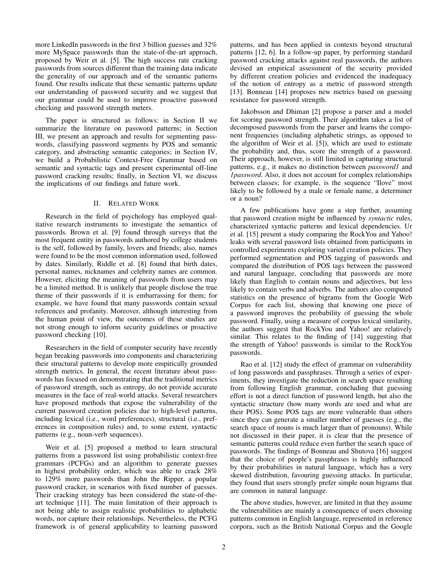more LinkedIn passwords in the first 3 billion guesses and 32% more MySpace passwords than the state-of-the-art approach, proposed by Weir et al. [\[5\]](#page-14-4). The high success rate cracking passwords from sources different than the training data indicate the generality of our approach and of the semantic patterns found. Our results indicate that these semantic patterns update our understanding of password security and we suggest that our grammar could be used to improve proactive password checking and password strength meters.

The paper is structured as follows: in Section [II](#page-1-0) we summarize the literature on password patterns; in Section [III,](#page-2-0) we present an approach and results for segmenting passwords, classifying password segments by POS and semantic category, and abstracting semantic categories; in Section [IV,](#page-8-0) we build a Probabilistic Context-Free Grammar based on semantic and syntactic tags and present experimental off-line password cracking results; finally, in Section [VI,](#page-13-0) we discuss the implications of our findings and future work.

## II. RELATED WORK

<span id="page-1-0"></span>Research in the field of psychology has employed qualitative research instruments to investigate the semantics of passwords. Brown et al. [\[9\]](#page-14-8) found through surveys that the most frequent entity in passwords authored by college students is the self, followed by family, lovers and friends; also, names were found to be the most common information used, followed by dates. Similarly, Riddle et al. [\[8\]](#page-14-7) found that birth dates, personal names, nicknames and celebrity names are common. However, eliciting the meaning of passwords from users may be a limited method. It is unlikely that people disclose the true theme of their passwords if it is embarrassing for them; for example, we have found that many passwords contain sexual references and profanity. Moreover, although interesting from the human point of view, the outcomes of these studies are not strong enough to inform security guidelines or proactive password checking [\[10\]](#page-14-9).

Researchers in the field of computer security have recently began breaking passwords into components and characterizing their structural patterns to develop more empirically grounded strength metrics. In general, the recent literature about passwords has focused on demonstrating that the traditional metrics of password strength, such as entropy, do not provide accurate measures in the face of real-world attacks. Several researchers have proposed methods that expose the vulnerability of the current password creation policies due to high-level patterns, including lexical (i.e., word preferences), structural (i.e., preferences in composition rules) and, to some extent, syntactic patterns (e.g., noun-verb sequences).

Weir et al. [\[5\]](#page-14-4) proposed a method to learn structural patterns from a password list using probabilistic context-free grammars (PCFGs) and an algorithm to generate guesses in highest probability order, which was able to crack 28% to 129% more passwords than John the Ripper, a popular password cracker, in scenarios with fixed number of guesses. Their cracking strategy has been considered the state-of-theart technique [\[11\]](#page-14-10). The main limitation of their approach is not being able to assign realistic probabilities to alphabetic words, nor capture their relationships. Nevertheless, the PCFG framework is of general applicability to learning password patterns, and has been applied in contexts beyond structural patterns [\[12,](#page-14-11) [6\]](#page-14-5). In a follow-up paper, by performing standard password cracking attacks against real passwords, the authors devised an empirical assessment of the security provided by different creation policies and evidenced the inadequacy of the notion of entropy as a metric of password strength [\[13\]](#page-14-12). Bonneau [\[14\]](#page-14-13) proposes new metrics based on guessing resistance for password strength.

Jakobsson and Dhiman [\[2\]](#page-14-1) propose a parser and a model for scoring password strength. Their algorithm takes a list of decomposed passwords from the parser and learns the component frequencies (including alphabetic strings, as opposed to the algorithm of Weir et al. [\[5\]](#page-14-4)), which are used to estimate the probability and, thus, score the strength of a password. Their approach, however, is still limited in capturing structural patterns, e.g., it makes no distinction between *password1* and *1password*. Also, it does not account for complex relationships between classes; for example, is the sequence "Ilove" most likely to be followed by a male or female name, a determiner or a noun?

A few publications have gone a step further, assuming that password creation might be influenced by *syntactic* rules, characterized syntactic patterns and lexical dependencies. Ur et al. [\[15\]](#page-14-14) present a study comparing the RockYou and Yahoo! leaks with several password lists obtained from participants in controlled experiments exploring varied creation policies. They performed segmentation and POS tagging of passwords and compared the distribution of POS tags between the password and natural language, concluding that passwords are more likely than English to contain nouns and adjectives, but less likely to contain verbs and adverbs. The authors also computed statistics on the presence of bigrams from the Google Web Corpus for each list, showing that knowing one piece of a password improves the probability of guessing the whole password. Finally, using a measure of corpus lexical similarity, the authors suggest that RockYou and Yahoo! are relatively similar. This relates to the finding of [\[14\]](#page-14-13) suggesting that the strength of Yahoo! passwords is similar to the RockYou passwords.

Rao et al. [\[12\]](#page-14-11) study the effect of grammar on vulnerability of long passwords and passphrases. Through a series of experiments, they investigate the reduction in search space resulting from following English grammar, concluding that guessing effort is not a direct function of password length, but also the syntactic structure (how many words are used and what are their POS). Some POS tags are more vulnerable than others since they can generate a smaller number of guesses (e.g., the search space of nouns is much larger than of pronouns). While not discussed in their paper, it is clear that the presence of semantic patterns could reduce even further the search space of passwords. The findings of Bonneau and Shutova [\[16\]](#page-14-15) suggest that the choice of people's passphrases is highly influenced by their probabilities in natural language, which has a very skewed distribution, favouring guessing attacks. In particular, they found that users strongly prefer simple noun bigrams that are common in natural language.

The above studies, however, are limited in that they assume the vulnerabilities are mainly a consequence of users choosing patterns common in English language, represented in reference corpora, such as the British National Corpus and the Google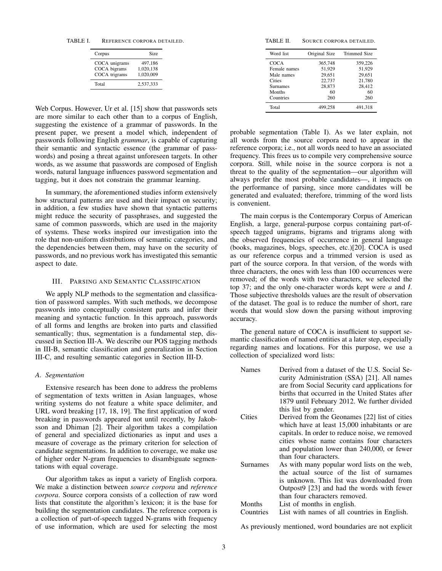<span id="page-2-2"></span>TABLE I. REFERENCE CORPORA DETAILED.

| Corpus                                         | Size                              |
|------------------------------------------------|-----------------------------------|
| COCA unigrams<br>COCA bigrams<br>COCA trigrams | 497,186<br>1,020,138<br>1,020,009 |
| Total                                          | 2,537,333                         |

Web Corpus. However, Ur et al. [\[15\]](#page-14-14) show that passwords sets are more similar to each other than to a corpus of English, suggesting the existence of a grammar of passwords. In the present paper, we present a model which, independent of passwords following English *grammar*, is capable of capturing their semantic and syntactic essence (the grammar of passwords) and posing a threat against unforeseen targets. In other words, as we assume that passwords are composed of English words, natural language influences password segmentation and tagging, but it does not constrain the grammar learning.

In summary, the aforementioned studies inform extensively how structural patterns are used and their impact on security; in addition, a few studies have shown that syntactic patterns might reduce the security of passphrases, and suggested the same of common passwords, which are used in the majority of systems. These works inspired our investigation into the role that non-uniform distributions of semantic categories, and the dependencies between them, may have on the security of passwords, and no previous work has investigated this semantic aspect to date.

# <span id="page-2-0"></span>III. PARSING AND SEMANTIC CLASSIFICATION

We apply NLP methods to the segmentation and classification of password samples. With such methods, we decompose passwords into conceptually consistent parts and infer their meaning and syntactic function. In this approach, passwords of all forms and lengths are broken into parts and classified semantically; thus, segmentation is a fundamental step, discussed in Section [III-A.](#page-2-1) We describe our POS tagging methods in [III-B,](#page-4-0) semantic classification and generalization in Section [III-C,](#page-4-1) and resulting semantic categories in Section [III-D.](#page-7-0)

## <span id="page-2-1"></span>*A. Segmentation*

Extensive research has been done to address the problems of segmentation of texts written in Asian languages, whose writing systems do not feature a white space delimiter, and URL word breaking [\[17,](#page-14-16) [18,](#page-14-17) [19\]](#page-14-18). The first application of word breaking in passwords appeared not until recently, by Jakobsson and Dhiman [\[2\]](#page-14-1). Their algorithm takes a compilation of general and specialized dictionaries as input and uses a measure of coverage as the primary criterion for selection of candidate segmentations. In addition to coverage, we make use of higher order N-gram frequencies to disambiguate segmentations with equal coverage.

Our algorithm takes as input a variety of English corpora. We make a distinction between *source corpora* and *reference corpora*. Source corpora consists of a collection of raw word lists that constitute the algorithm's lexicon; it is the base for building the segmentation candidates. The reference corpora is a collection of part-of-speech tagged N-grams with frequency of use information, which are used for selecting the most

TABLE II. SOURCE CORPORA DETAILED.

| Word list                  | Original Size    | <b>Trimmed Size</b> |
|----------------------------|------------------|---------------------|
| <b>COCA</b>                | 365,748          | 359,226             |
| Female names<br>Male names | 51,929<br>29,651 | 51,929<br>29,651    |
| Cities                     | 22,737           | 21,780              |
| <b>Surnames</b>            | 28,873           | 28,412              |
| Months                     | 60               | 60                  |
| Countries                  | 260              | 260                 |
| Total                      | 499.258          | 491,318             |

probable segmentation (Table [I\)](#page-2-2). As we later explain, not all words from the source corpora need to appear in the reference corpora; i.e., not all words need to have an associated frequency. This frees us to compile very comprehensive source corpora. Still, while noise in the source corpora is not a threat to the quality of the segmentation—our algorithm will always prefer the most probable candidates—, it impacts on the performance of parsing, since more candidates will be generated and evaluated; therefore, trimming of the word lists is convenient.

The main corpus is the Contemporary Corpus of American English, a large, general-purpose corpus containing part-ofspeech tagged unigrams, bigrams and trigrams along with the observed frequencies of occurrence in general language (books, magazines, blogs, speeches, etc.)[\[20\]](#page-14-19). COCA is used as our reference corpus and a trimmed version is used as part of the source corpora. In that version, of the words with three characters, the ones with less than 100 occurrences were removed; of the words with two characters, we selected the top 37; and the only one-character words kept were *a* and *I*. Those subjective thresholds values are the result of observation of the dataset. The goal is to reduce the number of short, rare words that would slow down the parsing without improving accuracy.

The general nature of COCA is insufficient to support semantic classification of named entities at a later step, especially regarding names and locations. For this purpose, we use a collection of specialized word lists:

| <b>Names</b>        | Derived from a dataset of the U.S. Social Se-<br>curity Administration (SSA) [21]. All names<br>are from Social Security card applications for<br>births that occurred in the United States after<br>1879 until February 2012. We further divided                                              |
|---------------------|------------------------------------------------------------------------------------------------------------------------------------------------------------------------------------------------------------------------------------------------------------------------------------------------|
| Cities              | this list by gender.<br>Derived from the Geonames [22] list of cities<br>which have at least 15,000 inhabitants or are<br>capitals. In order to reduce noise, we removed<br>cities whose name contains four characters<br>and population lower than 240,000, or fewer<br>than four characters. |
| Surnames            | As with many popular word lists on the web,<br>the actual source of the list of surnames<br>is unknown. This list was downloaded from<br>Outpost9 [23] and had the words with fewer<br>than four characters removed.                                                                           |
| Months<br>Countries | List of months in english.<br>List with names of all countries in English.                                                                                                                                                                                                                     |

As previously mentioned, word boundaries are not explicit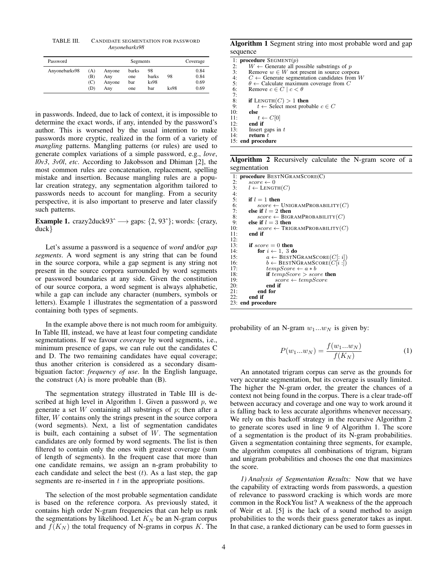<span id="page-3-1"></span>TABLE III. CANDIDATE SEGMENTATION FOR PASSWORD *Anyonebarks98*

| Password      |                          |                                | Segments                   |                            |            | Coverage                     |
|---------------|--------------------------|--------------------------------|----------------------------|----------------------------|------------|------------------------------|
| Anyonebarks98 | (A)<br>(B)<br>(C)<br>(D) | Anyone<br>Any<br>Anyone<br>Any | barks<br>one<br>bar<br>one | 98<br>barks<br>ks98<br>bar | 98<br>ks98 | 0.84<br>0.84<br>0.69<br>0.69 |

in passwords. Indeed, due to lack of context, it is impossible to determine the exact words, if any, intended by the password's author. This is worsened by the usual intention to make passwords more cryptic, realized in the form of a variety of *mangling* patterns. Mangling patterns (or rules) are used to generate complex variations of a simple password, e.g., *love*, *l0v3*, *3v0l*, *etc*. According to Jakobsson and Dhiman [\[2\]](#page-14-1), the most common rules are concatenation, replacement, spelling mistake and insertion. Because mangling rules are a popular creation strategy, any segmentation algorithm tailored to passwords needs to account for mangling. From a security perspective, it is also important to preserve and later classify such patterns.

<span id="page-3-0"></span>Example 1. crazy2duck93<sup> $\sim$ </sup> gaps: {2, 93 $\$ }; words: {crazy, duck}

Let's assume a password is a sequence of *word* and/or *gap segments*. A word segment is any string that can be found in the source corpora, while a gap segment is any string not present in the source corpora surrounded by word segments or password boundaries at any side. Given the constitution of our source corpora, a word segment is always alphabetic, while a gap can include any character (numbers, symbols or letters). Example [1](#page-3-0) illustrates the segmentation of a password containing both types of segments.

In the example above there is not much room for ambiguity. In Table [III,](#page-3-1) instead, we have at least four competing candidate segmentations. If we favour *coverage* by word segments, i.e., minimum presence of gaps, we can rule out the candidates C and D. The two remaining candidates have equal coverage; thus another criterion is considered as a secondary disambiguation factor: *frequency of use*. In the English language, the construct  $(A)$  is more probable than  $(B)$ .

The segmentation strategy illustrated in Table [III](#page-3-1) is de-scribed at high level in Algorithm [1.](#page-3-2) Given a password  $p$ , we generate a set W containing all substrings of  $p$ ; then after a filter, W contains only the strings present in the source corpora (word segments). Next, a list of segmentation candidates is built, each containing a subset of  $W$ . The segmentation candidates are only formed by word segments. The list is then filtered to contain only the ones with greatest coverage (sum of length of segments). In the frequent case that more than one candidate remains, we assign an n-gram probability to each candidate and select the best  $(t)$ . As a last step, the gap segments are re-inserted in  $t$  in the appropriate positions.

The selection of the most probable segmentation candidate is based on the reference corpora. As previously stated, it contains high order N-gram frequencies that can help us rank the segmentations by likelihood. Let  $K_N$  be an N-gram corpus and  $f(K_N)$  the total frequency of N-grams in corpus K. The

# Algorithm 1 Segment string into most probable word and gap sequence

<span id="page-3-2"></span>

|             | 1: <b>procedure</b> SEGMENT $(p)$                      |
|-------------|--------------------------------------------------------|
| 2:          | $W \leftarrow$ Generate all possible substrings of p   |
| 3:          | Remove $w \in W$ not present in source corpora         |
| $rac{4}{5}$ | $C \leftarrow$ Generate segmentation candidates from W |
|             | $\theta \leftarrow$ Calculate maximum coverage from C  |
| 6:          | Remove $c \in C \mid c < \theta$                       |
| 7:          |                                                        |
| 8:          | <b>if</b> LENGTH( $C$ ) > 1 then                       |
| 9:          | $t \leftarrow$ Select most probable $c \in C$          |
| 10:         | else                                                   |
| 11:         | $t \leftarrow C[0]$                                    |
| 12:         | end if                                                 |
| 13:         | Insert gaps in $t$                                     |
| 14:         | return $t$                                             |
|             | 15: end procedure                                      |

Algorithm 2 Recursively calculate the N-gram score of a segmentation

```
1: procedure BESTNGRAMSCORE(C)
 2: \begin{array}{c} \text{score} \leftarrow 0 \\ \text{3:} \end{array} l \leftarrow \text{LENGT}l \leftarrow LENGTH(C)rac{4}{5}:
 5: if l = 1 then<br>6: score \leftarrow6: score \leftarrow \text{UNIGRAMPROBABILITY}(C)<br>7: else if l = 2 then
 7: else if l = 2 then<br>8: score \leftarrow BIGI8: score \leftarrow \text{BIGRAMPROBABILITY}(C)<br>9: else if l = 3 then
9: else if l = 3 then<br>10: score \leftarrow \text{TRI}10: score \leftarrow \text{TRIGRAMPROBABILITY}(C)<br>11: end if
             end if
\frac{12}{13}:
13: if score = 0 then<br>14: for i \leftarrow 1, 3 d
14: for i \leftarrow 1, 3 do<br>15: a \leftarrow \text{BESTN}15: a \leftarrow \text{BESTNGRAMScore}(C[:i])<br>16: b \leftarrow \text{BESTNGRAMScore}(C[i:])16: b \leftarrow \text{BESTNGRAMSCORE}(\widehat{C}[i :])<br>17: tempScore \leftarrow a * b17: tempScore \leftarrow a * b<br>18: if tempScore > sco18: if tempScore > score then<br>19: score \leftarrow tempScore19: score \leftarrow tempScore<br>20: end if
20: end if<br>21: end for
21: \qquad \qquad \text{end} for \qquad \qquad end if
             end if
23: end procedure
```
probability of an N-gram  $w_1...w_N$  is given by:

$$
P(w_1...w_N) = \frac{f(w_1...w_N)}{f(K_N)}
$$
 (1)

An annotated trigram corpus can serve as the grounds for very accurate segmentation, but its coverage is usually limited. The higher the N-gram order, the greater the chances of a context not being found in the corpus. There is a clear trade-off between accuracy and coverage and one way to work around it is falling back to less accurate algorithms whenever necessary. We rely on this backoff strategy in the recursive Algorithm [2](#page-3-3) to generate scores used in line 9 of Algorithm [1.](#page-3-2) The score of a segmentation is the product of its N-gram probabilities. Given a segmentation containing three segments, for example, the algorithm computes all combinations of trigram, bigram and unigram probabilities and chooses the one that maximizes the score.

*1) Analysis of Segmentation Results:* Now that we have the capability of extracting words from passwords, a question of relevance to password cracking is which words are more common in the RockYou list? A weakness of the the approach of Weir et al. [\[5\]](#page-14-4) is the lack of a sound method to assign probabilities to the words their guess generator takes as input. In that case, a ranked dictionary can be used to form guesses in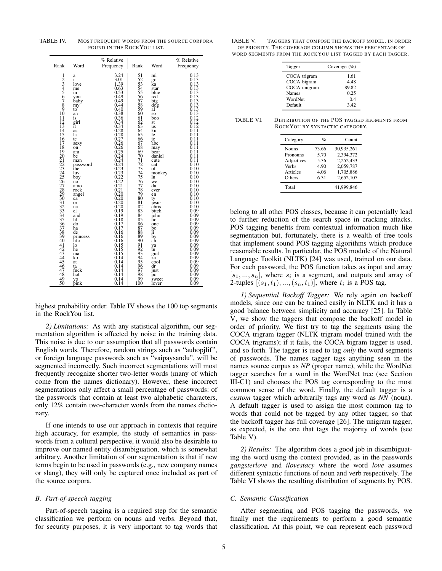<span id="page-4-2"></span>TABLE IV. MOST FREQUENT WORDS FROM THE SOURCE CORPORA FOUND IN THE ROCKYOU LIST.

|                                                       |            | % Relative                                                                          |                                        |              | % Relative                                  |
|-------------------------------------------------------|------------|-------------------------------------------------------------------------------------|----------------------------------------|--------------|---------------------------------------------|
| Rank                                                  | Word       | Frequency                                                                           | Rank                                   | Word         | Frequency                                   |
| $\mathbf{1}$                                          | a          | 3.24                                                                                | 51                                     | mi           | 0.13                                        |
| $\frac{2}{3}$ $\frac{3}{4}$ 5 6 7 8 9 10 11           | i          | 3.01                                                                                | $\frac{52}{53}$                        |              | 0.13                                        |
|                                                       | love       | $\frac{1.39}{0.63}$                                                                 |                                        | go<br>ka     | 0.13                                        |
|                                                       | me         |                                                                                     |                                        | star         | 0.13                                        |
|                                                       | in         | 0.53                                                                                |                                        | blue         | 0.13                                        |
|                                                       | vou        | 0.49<br>0.49                                                                        |                                        | red<br>big   | 0.13                                        |
|                                                       | baby<br>my | 0.44                                                                                |                                        | dog          | $\begin{array}{c} 0.13 \\ 0.13 \end{array}$ |
|                                                       | to         | 0.40                                                                                | 55<br>56<br>57<br>58<br>59             | al           | 0.13                                        |
|                                                       | an         | $\begin{array}{c} 0.38 \\ 0.38 \\ 0.36 \\ 0.34 \\ 0.34 \\ 0.28 \\ 0.28 \end{array}$ | 60                                     | SO.          | 0.13                                        |
|                                                       | is         |                                                                                     | 61                                     | boo          | 0.12                                        |
| $\frac{12}{13}$                                       | girl       |                                                                                     | 62                                     | st           | 0.12                                        |
|                                                       | īt         |                                                                                     | $\overline{63}$                        | us           | 0.12                                        |
| 14                                                    | as         |                                                                                     | 64                                     | ku           | 0.11                                        |
| 15                                                    | la         |                                                                                     | 65                                     | le           | 0.11<br>0.11                                |
| $\frac{16}{17}$                                       | te<br>sexy | $\begin{array}{c} 0.28 \\ 0.27 \\ 0.26 \end{array}$                                 | $\frac{66}{67}$                        | jo<br>abc    | 0.11                                        |
| 18                                                    | on         |                                                                                     | 68                                     | may          | 0.11                                        |
|                                                       | am         | $\begin{array}{c} 0.26 \\ 0.25 \\ 0.24 \end{array}$                                 |                                        | bear         | 0.11                                        |
|                                                       | be         |                                                                                     | $\frac{69}{70}$                        | daniel       | 0.11                                        |
|                                                       | man        |                                                                                     | 71                                     | cute         | 0.11                                        |
|                                                       | password   |                                                                                     |                                        | cat          | 0.10                                        |
|                                                       | the        |                                                                                     |                                        | of           | 0.10                                        |
| 19<br>20<br>21<br>22<br>23<br>24<br>25<br>26          | luv        | $0.24$<br>$0.24$<br>$0.23$<br>$0.23$<br>$0.22$<br>$0.22$<br>$0.22$                  | 72<br>73<br>74<br>75<br>75<br>77<br>77 | monkey<br>lu | 0.10<br>0.10                                |
|                                                       | boy<br>no  |                                                                                     |                                        | we           | 0.10                                        |
|                                                       | amo        |                                                                                     |                                        | da           | 0.10                                        |
| $\frac{27}{28}$                                       | rock       | $\begin{array}{c} 0.21 \\ 0.21 \\ 0.20 \end{array}$                                 |                                        | ever         | 0.10                                        |
|                                                       | angel      |                                                                                     | 78<br>79                               | en           | 0.10                                        |
| $\frac{30}{31}$<br>$\frac{31}{32}$<br>$\frac{33}{33}$ | ca         | 0.20                                                                                | 80                                     | ty           | 0.10                                        |
|                                                       | or         | $0.20$<br>$0.20$                                                                    | $\frac{81}{82}$<br>$83$                | jesus        | 0.10                                        |
|                                                       | na         | 0.19                                                                                |                                        | chris        | 0.10                                        |
|                                                       | el         | 0.19                                                                                |                                        | bitch        | 0.09<br>0.09                                |
| $\frac{34}{35}$                                       | and<br>1i1 | 0.18                                                                                | $\frac{84}{85}$                        | iohn<br>ħо   | 0.09                                        |
|                                                       | do         | 0.17                                                                                |                                        | one          | 0.09                                        |
| $\frac{36}{37}$                                       | ha         | 0.17                                                                                | $\frac{86}{87}$                        | bo           | 0.09                                        |
|                                                       | de         | 0.16                                                                                | 88                                     | Ĩï           | 0.09                                        |
| 39                                                    | princess   | 0.16                                                                                | 89                                     | by<br>ah     | 0.09                                        |
| 40                                                    | life       | $\begin{array}{c} 0.16 \\ 0.15 \end{array}$                                         | 90                                     |              | 0.09                                        |
| 41                                                    | lo         |                                                                                     | 9ĭ                                     | ya           | 0.09                                        |
| 42<br>43                                              | he         | 0.15<br>0.15                                                                        | $\frac{92}{93}$<br>93                  | tu           | 0.09<br>0.09                                |
| 44                                                    | ma<br>ko   | 0.14                                                                                |                                        | gurl<br>žа   | 0.09                                        |
| 45                                                    | at         | 0.14                                                                                | 95                                     | cool         | 0.09                                        |
| 46                                                    | ta         | 0.14                                                                                |                                        | dr           | 0.09                                        |
| 47                                                    | fuck       | 0.14                                                                                | $\frac{96}{97}$                        | just         | 0.09                                        |
| 48                                                    | hot        | 0.14                                                                                | 98                                     | po           | 0.09                                        |
| 49                                                    | yo         | 0.14                                                                                | 99                                     | sweet        | 0.09                                        |
| 50                                                    | pink       | 0.14                                                                                | 100                                    | lover        | 0.09                                        |

highest probability order. Table [IV](#page-4-2) shows the 100 top segments in the RockYou list.

*2) Limitations:* As with any statistical algorithm, our segmentation algorithm is affected by noise in the training data. This noise is due to our assumption that all passwords contain English words. Therefore, random strings such as "auhopjlif", or foreign language passwords such as "vaipaysandu", will be segmented incorrectly. Such incorrect segmentations will most frequently recognize shorter two-letter words (many of which come from the names dictionary). However, these incorrect segmentations only affect a small percentage of passwords: of the passwords that contain at least two alphabetic characters, only 12% contain two-character words from the names dictionary.

If one intends to use our approach in contexts that require high accuracy, for example, the study of semantics in passwords from a cultural perspective, it would also be desirable to improve our named entity disambiguation, which is somewhat arbitrary. Another limitation of our segmentation is that if new terms begin to be used in passwords (e.g., new company names or slang), they will only be captured once included as part of the source corpora.

# <span id="page-4-0"></span>*B. Part-of-speech tagging*

Part-of-speech tagging is a required step for the semantic classification we perform on nouns and verbs. Beyond that, for security purposes, it is very important to tag words that

<span id="page-4-3"></span>

| TABLE V.                                                   | TAGGERS THAT COMPOSE THE BACKOFF MODEL. IN ORDER         |  |  |  |
|------------------------------------------------------------|----------------------------------------------------------|--|--|--|
|                                                            | OF PRIORITY. THE COVERAGE COLUMN SHOWS THE PERCENTAGE OF |  |  |  |
| WORD SEGMENTS FROM THE ROCKYOU LIST TAGGED BY EACH TAGGER. |                                                          |  |  |  |

| Tagger       | Coverage $(\%)$ |
|--------------|-----------------|
| COCA trigram | 1.61            |
| COCA bigram  | 448             |
| COCA unigram | 89.82           |
| <b>Names</b> | 0.25            |
| WordNet      | 0.4             |
| Default      | 3.42            |

<span id="page-4-4"></span>

| TABLE VI. | DISTRIBUTION OF THE POS TAGGED SEGMENTS FROM |
|-----------|----------------------------------------------|
|           | ROCKYOU BY SYNTACTIC CATEGORY.               |

| Category     | $\mathcal{O}_0$ | Count      |
|--------------|-----------------|------------|
| <b>Nouns</b> | 73.66           | 30,935,261 |
| Pronouns     | 5.70            | 2.394.372  |
| Adjectives   | 536             | 2,252,433  |
| <b>Verbs</b> | 4.90            | 2,059,787  |
| Articles     | 4.06            | 1,705,886  |
| Others       | 631             | 2,652,107  |
| Total        |                 | 41.999.846 |

belong to all other POS classes, because it can potentially lead to further reduction of the search space in cracking attacks. POS tagging benefits from contextual information much like segmentation but, fortunately, there is a wealth of free tools that implement sound POS tagging algorithms which produce reasonable results. In particular, the POS module of the Natural Language Toolkit (NLTK) [\[24\]](#page-14-23) was used, trained on our data. For each password, the POS function takes as input and array  $[s_1, ..., s_n]$ , where  $s_i$  is a segment, and outputs and array of 2-tuples  $[(s_1, t_1), ..., (s_n, t_1)]$ , where  $t_i$  is a POS tag.

*1) Sequential Backoff Tagger:* We rely again on backoff models, since one can be trained easily in NLTK and it has a good balance between simplicity and accuracy [\[25\]](#page-15-0). In Table [V,](#page-4-3) we show the taggers that compose the backoff model in order of priority. We first try to tag the segments using the COCA trigram tagger (NLTK trigram model trained with the COCA trigrams); if it fails, the COCA bigram tagger is used, and so forth. The tagger is used to tag *only* the word segments of passwords. The names tagger tags anything seen in the names source corpus as *NP* (proper name), while the WordNet tagger searches for a word in the WordNet tree (see Section [III-C1\)](#page-5-0) and chooses the POS tag corresponding to the most common sense of the word. Finally, the default tagger is a *custom* tagger which arbitrarily tags any word as *NN* (noun). A default tagger is used to assign the most common tag to words that could not be tagged by any other tagger, so that the backoff tagger has full coverage [\[26\]](#page-15-1). The unigram tagger, as expected, is the one that tags the majority of words (see Table [V\)](#page-4-3).

*2) Results:* The algorithm does a good job in disambiguating the word using the context provided, as in the passwords *gangsterlove* and *ilovestacy* where the word *love* assumes different syntactic functions of noun and verb respectively. The Table [VI](#page-4-4) shows the resulting distribution of segments by POS.

## <span id="page-4-1"></span>*C. Semantic Classification*

After segmenting and POS tagging the passwords, we finally met the requirements to perform a good semantic classification. At this point, we can represent each password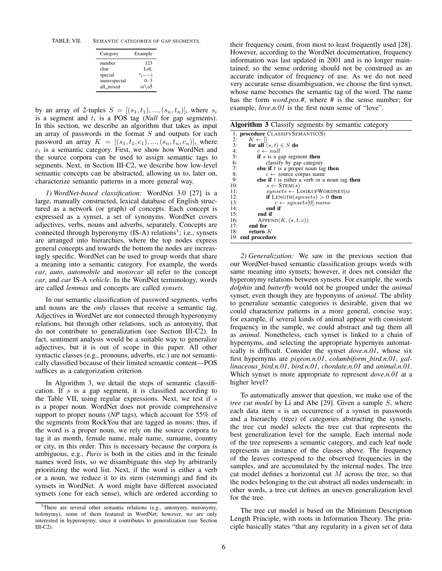<span id="page-5-4"></span>TABLE VII. SEMANTIC CATEGORIES OF GAP SEGMENTS.

| Category    | Example        |
|-------------|----------------|
| number      | 123            |
| char        | LoL.           |
| special     | $*_{i}$ :- :-) |
| num+special | $0: -3$        |
| all mixed   | $o/\sqrt{05}$  |

by an array of 2-tuples  $S = [(s_1, t_1), ..., (s_n, t_n)]$ , where  $s_i$ is a segment and  $t_i$  is a POS tag (*Null* for gap segments). In this section, we describe an algorithm that takes as input an array of passwords in the format  $S$  and outputs for each password an array  $K = [(s_1, t_1, c_1), ..., (s_n, t_n, c_n)]$ , where  $c_i$  is a semantic category. First, we show how WordNet and the source corpora can be used to assign semantic tags to segments. Next, in Section [III-C2,](#page-5-1) we describe how low-level semantic concepts can be abstracted, allowing us to, later on, characterize semantic patterns in a more general way.

<span id="page-5-0"></span>*1) WordNet-based classification:* WordNet 3.0 [\[27\]](#page-15-2) is a large, manually constructed, lexical database of English structured as a network (or graph) of concepts. Each concept is expressed as a synset, a set of synonyms. WordNet covers adjectives, verbs, nouns and adverbs, separately. Concepts are connected through hyperonymy (IS-A) relations<sup>[1](#page-5-2)</sup>; i.e., synsets are arranged into hierarchies, where the top nodes express general concepts and towards the bottom the nodes are increasingly specific. WordNet can be used to group words that share a meaning into a semantic category. For example, the words *car*, *auto*, *automobile* and *motorcar* all refer to the concept *car*, and *car* IS-A *vehicle*. In the WordNet terminology, words are called *lemmas* and concepts are called *synsets*.

In our semantic classification of password segments, verbs and nouns are the *only* classes that receive a semantic tag. Adjectives in WordNet are not connected through hyperonymy relations, but through other relations, such as antonymy, that do not contribute to generalization (see Section [III-C2\)](#page-5-1). In fact, sentiment analysis would be a suitable way to generalize adjectives, but it is out of scope in this paper. All other syntactic classes (e.g., pronouns, adverbs, etc.) are not semantically classified because of their limited semantic content—POS suffices as a categorization criterion.

In Algorithm [3,](#page-5-3) we detail the steps of semantic classification. If  $s$  is a gap segment, it is classified according to the Table [VII,](#page-5-4) using regular expressions. Next, we test if s is a proper noun. WordNet does not provide comprehensive support to proper nouns (*NP* tags), which account for 55% of the segments from RockYou that are tagged as nouns; thus, if the word is a proper noun, we rely on the source corpora to tag it as month, female name, male name, surname, country or city, in this order. This is necessary because the corpora is ambiguous, e.g., *Paris* is both in the cities and in the female names word lists, so we disambiguate this step by arbitrarily prioritizing the word list. Next, if the word is either a verb or a noun, we reduce it to its stem (stemming) and find its synsets in WordNet. A word might have different associated synsets (one for each sense), which are ordered according to their frequency count, from most to least frequently used [\[28\]](#page-15-3). However, according to the WordNet documentation, frequency information was last updated in 2001 and is no longer maintained; so the sense ordering should not be construed as an accurate indicator of frequency of use. As we do not need very accurate sense disambiguation, we choose the first synset, whose name becomes the semantic tag of the word. The name has the form *word.pos.#*, where # is the sense number; for example, *love.n.01* is the first noun sense of "love".

Algorithm 3 Classify segments by semantic category

<span id="page-5-3"></span>

|     | 1: <b>procedure</b> CLASSIFYSEMANTIC(S)                       |  |
|-----|---------------------------------------------------------------|--|
| 2:  | $K \leftarrow   $                                             |  |
| 3:  | for all $(s, t) \in S$ do                                     |  |
| 4:  | $c \leftarrow null$                                           |  |
| 5:  | if s is a gap segment then                                    |  |
| 6:  | classify by gap category                                      |  |
| 7:  | <b>else if</b> $t$ is a proper noun tag <b>then</b>           |  |
| 8:  | $c \leftarrow$ source corpus name                             |  |
| 9:  | <b>else if</b> $t$ is either a verb or a noun tag <b>then</b> |  |
| 10: | $s \leftarrow$ STEM(s)                                        |  |
| 11: | $synsets \leftarrow \text{LOOKUPWORDNET(s)}$                  |  |
| 12: | if LENGTH(synsets) > 0 then                                   |  |
| 13: | $c \leftarrow synsets[0].name$                                |  |
| 14: | end if                                                        |  |
| 15: | end if                                                        |  |
| 16: | APPEND(K, (s, t, c))                                          |  |
| 17: | end for                                                       |  |
| 18: | return $K$                                                    |  |
|     | 19: end procedure                                             |  |

<span id="page-5-1"></span>*2) Generalization:* We saw in the previous section that our WordNet-based semantic classification groups words with same meaning into synsets; however, it does not consider the hyperonymy relations between synsets. For example, the words *dolphin* and *butterfly* would not be grouped under the *animal* synset, even though they are hyponyms of *animal*. The ability to generalize semantic categories is desirable, given that we could characterize patterns in a more general, concise way; for example, if several kinds of animal appear with consistent frequency in the sample, we could abstract and tag them all as *animal*. Nonetheless, each synset is linked to a chain of hypernyms, and selecting the appropriate hypernym automatically is difficult. Consider the synset *dove.n.01*, whose six first hypernyms are *pigeon.n.01*, *columbiform bird.n.01*, *gallinaceous bird.n.01*, *bird.n.01*, *chordate.n.01* and *animal.n.01*. Which synset is more appropriate to represent *dove.n.01* at a higher level?

To automatically answer that question, we make use of the *tree cut model* by Li and Abe [\[29\]](#page-15-4). Given a sample S, where each data item s is an occurrence of a synset in passwords and a hierarchy (tree) of categories abstracting the synsets, the tree cut model selects the tree cut that represents the best generalization level for the sample. Each internal node of the tree represents a semantic category, and each leaf node represents an instance of the classes above. The frequency of the leaves correspond to the observed frequencies in the samples, and are accumulated by the internal nodes. The tree cut model defines a horizontal cut M across the tree, so that the nodes belonging to the cut abstract all nodes underneath; in other words, a tree cut defines an uneven generalization level for the tree.

The tree cut model is based on the Minimum Description Length Principle, with roots in Information Theory. The principle basically states "that any regularity in a given set of data

<span id="page-5-2"></span><sup>&</sup>lt;sup>1</sup>There are several other semantic relations (e.g., antonymy, meronymy, holonymy), some of them featured in WordNet; however, we are only interested in hyperonymy, since it contributes to generalization (see Section [III-C2\)](#page-5-1).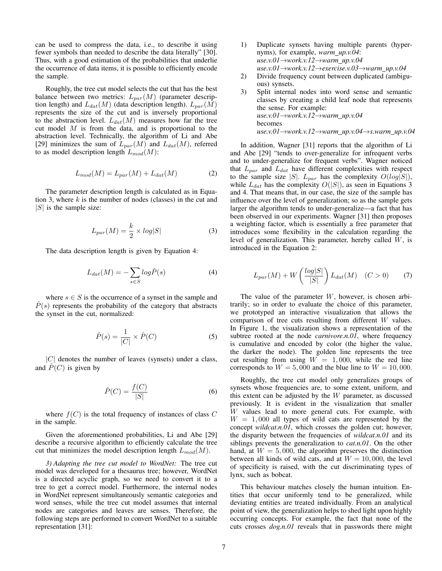can be used to compress the data, i.e., to describe it using fewer symbols than needed to describe the data literally" [\[30\]](#page-15-5). Thus, with a good estimation of the probabilities that underlie the occurrence of data items, it is possible to efficiently encode the sample.

Roughly, the tree cut model selects the cut that has the best balance between two metrics:  $L_{par}(M)$  (parameter description length) and  $L_{dat}(M)$  (data description length).  $L_{par}(M)$ represents the size of the cut and is inversely proportional to the abstraction level.  $L_{dat}(M)$  measures how far the tree cut model  $M$  is from the data, and is proportional to the abstraction level. Technically, the algorithm of Li and Abe [\[29\]](#page-15-4) minimizes the sum of  $L_{par}(M)$  and  $L_{dat}(M)$ , referred to as model description length  $L_{mod}(M)$ :

$$
L_{mod}(M) = L_{par}(M) + L_{dat}(M)
$$
\n(2)

<span id="page-6-2"></span><span id="page-6-0"></span>The parameter description length is calculated as in Equa-tion [3,](#page-6-0) where  $k$  is the number of nodes (classes) in the cut and  $|S|$  is the sample size:

$$
L_{par}(M) = \frac{k}{2} \times log|S|
$$
 (3)

<span id="page-6-1"></span>The data description length is given by Equation [4:](#page-6-1)

$$
L_{dat}(M) = -\sum_{s \in S} log\hat{P}(s)
$$
 (4)

where  $s \in S$  is the occurrence of a synset in the sample and  $P(s)$  represents the probability of the category that abstracts the synset in the cut, normalized:

$$
\hat{P}(s) = \frac{1}{|C|} \times \hat{P}(C)
$$
\n(5)

 $|C|$  denotes the number of leaves (synsets) under a class, and  $\hat{P}(C)$  is given by

$$
\hat{P}(C) = \frac{f(C)}{|S|} \tag{6}
$$

where  $f(C)$  is the total frequency of instances of class C in the sample.

Given the aforementioned probabilities, Li and Abe [\[29\]](#page-15-4) describe a recursive algorithm to efficiently calculate the tree cut that minimizes the model description length  $L_{mod}(M)$ .

*3) Adapting the tree cut model to WordNet:* The tree cut model was developed for a thesaurus tree; however, WordNet is a directed acyclic graph, so we need to convert it to a tree to get a correct model. Furthermore, the internal nodes in WordNet represent simultaneously semantic categories and word senses, while the tree cut model assumes that internal nodes are categories and leaves are senses. Therefore, the following steps are performed to convert WordNet to a suitable representation [\[31\]](#page-15-6):

- 1) Duplicate synsets having multiple parents (hypernyms), for example, *warm\_up.v.04*: *use.v.01*→*work.v.12*→*warm up.v.04 use.v.01*→*work.v.12*→*exercise.v.03*→*warm up.v.04* 2) Divide frequency count between duplicated (ambigu-
- ous) synsets.
- 3) Split internal nodes into word sense and semantic classes by creating a child leaf node that represents the sense. For example: *use.v.01*→*work.v.12*→*warm up.v.04* becomes *use.v.01*→*work.v.12*→*warm up.v.04*→*s.warm up.v.04*

In addition, Wagner [\[31\]](#page-15-6) reports that the algorithm of Li and Abe [\[29\]](#page-15-4) "tends to over-generalize for infrequent verbs and to under-generalize for frequent verbs". Wagner noticed that  $L_{par}$  and  $L_{dat}$  have different complexities with respect to the sample size |S|.  $L_{par}$  has the complexity  $O(log|S|)$ , while  $L_{dat}$  has the complexity  $O(|S|)$ , as seen in Equations [3](#page-6-0) and [4.](#page-6-1) That means that, in our case, the size of the sample has influence over the level of generalization; so as the sample gets larger the algorithm tends to under-generalize—a fact that has been observed in our experiments. Wagner [\[31\]](#page-15-6) then proposes a weighting factor, which is essentially a free parameter that introduces some flexibility in the calculation regarding the level of generalization. This parameter, hereby called W, is introduced in the Equation [2:](#page-6-2)

$$
L_{par}(M) + W\left(\frac{log|S|}{|S|}\right) L_{dat}(M) \quad (C > 0) \tag{7}
$$

The value of the parameter  $W$ , however, is chosen arbitrarily; so in order to evaluate the choice of this parameter, we prototyped an interactive visualization that allows the comparison of tree cuts resulting from different W values. In Figure [1,](#page-7-1) the visualization shows a representation of the subtree rooted at the node *carnivore.n.01*, where frequency is cumulative and encoded by color (the higher the value, the darker the node). The golden line represents the tree cut resulting from using  $W = 1,000$ , while the red line corresponds to  $W = 5,000$  and the blue line to  $W = 10,000$ .

Roughly, the tree cut model only generalizes groups of synsets whose frequencies are, to some extent, uniform, and this extent can be adjusted by the  $W$  parameter, as discussed previously. It is evident in the visualization that smaller W values lead to more general cuts. For example, with  $W = 1,000$  all types of wild cats are represented by the concept *wildcat.n.01*, which crosses the golden cut; however, the disparity between the frequencies of *wildcat.n.01* and its siblings prevents the generalization to *cat.n.01*. On the other hand, at  $W = 5,000$ , the algorithm preserves the distinction between all kinds of wild cats, and at  $W = 10,000$ , the level of specificity is raised, with the cut discriminating types of lynx, such as bobcat.

This behaviour matches closely the human intuition. Entities that occur uniformly tend to be generalized, while deviating entities are treated individually. From an analytical point of view, the generalization helps to shed light upon highly occurring concepts. For example, the fact that none of the cuts crosses *dog.n.01* reveals that in passwords there might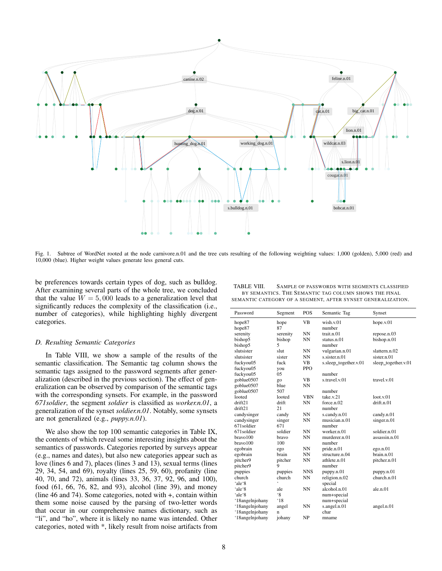

Fig. 1. Subtree of WordNet rooted at the node carnivore.n.01 and the tree cuts resulting of the following weighting values: 1,000 (golden), 5,000 (red) and 10,000 (blue). Higher weight values generate less general cuts.

be preferences towards certain types of dog, such as bulldog. After examining several parts of the whole tree, we concluded that the value  $W = 5,000$  leads to a generalization level that significantly reduces the complexity of the classification (i.e., number of categories), while highlighting highly divergent categories.

## <span id="page-7-0"></span>*D. Resulting Semantic Categories*

In Table [VIII,](#page-7-2) we show a sample of the results of the semantic classification. The Semantic tag column shows the semantic tags assigned to the password segments after generalization (described in the previous section). The effect of generalization can be observed by comparison of the semantic tags with the corresponding synsets. For example, in the password *671soldier*, the segment *soldier* is classified as *worker.n.01*, a generalization of the synset *soldier.n.01*. Notably, some synsets are not generalized (e.g., *puppy.n.01*).

We also show the top 100 semantic categories in Table [IX,](#page-8-1) the contents of which reveal some interesting insights about the semantics of passwords. Categories reported by surveys appear (e.g., names and dates), but also new categories appear such as love (lines 6 and 7), places (lines 3 and 13), sexual terms (lines 29, 34, 54, and 69), royalty (lines 25, 59, 60), profanity (line 40, 70, and 72), animals (lines 33, 36, 37, 92, 96, and 100), food (61, 66, 76, 82, and 93), alcohol (line 39), and money (line 46 and 74). Some categories, noted with +, contain within them some noise caused by the parsing of two-letter words that occur in our comprehensive names dictionary, such as "li", and "ho", where it is likely no name was intended. Other categories, noted with \*, likely result from noise artifacts from

<span id="page-7-2"></span><span id="page-7-1"></span>

| TABLE VIII | SAMPLE OF PASSWORDS WITH SEGMENTS CLASSIFIED                 |
|------------|--------------------------------------------------------------|
|            | BY SEMANTICS. THE SEMANTIC TAG COLUMN SHOWS THE FINAL        |
|            | SEMANTIC CATEGORY OF A SEGMENT, AFTER SYNSET GENERALIZATION. |
|            |                                                              |
|            |                                                              |

| Password        | Segment      | <b>POS</b> | Semantic Tag          | Synset              |
|-----------------|--------------|------------|-----------------------|---------------------|
| hope87          | hope         | <b>VB</b>  | wish.v.01             | hope.v.01           |
| hope87          | 87           |            | number                |                     |
| serenity        | serenity     | <b>NN</b>  | trait.n.01            | repose.n.03         |
| bishop5         | bishop       | <b>NN</b>  | status.n.01           | bishop.n.01         |
| bishop5         | 5            |            | number                |                     |
| slutsister      | slut         | <b>NN</b>  | vulgarian.n.01        | slattern.n.02       |
| slutsister      | sister       | <b>NN</b>  | s.sister.n.01         | sister.n.01         |
| fuckyou05       | fuck         | <b>VB</b>  | s.sleep_together.v.01 | sleep_together.v.01 |
| fuckyou05       | you          | <b>PPO</b> |                       |                     |
| fuckyou05       | 05           |            | number                |                     |
| goblue0507      | go           | <b>VB</b>  | s.travel.v.01         | travel.v.01         |
| goblue0507      | blue         | <b>NN</b>  |                       |                     |
| goblue0507      | 507          |            | number                |                     |
| looted          | looted       | <b>VBN</b> | take.v.21             | $\text{lost.v.}01$  |
| drift21         | drift        | <b>NN</b>  | force. $n.02$         | drift.n.01          |
| drift21         | 21           |            | number                |                     |
| candysinger     | candy        | <b>NN</b>  | s.candy.n.01          | candy.n.01          |
| candysinger     | singer       | <b>NN</b>  | musician.n.01         | singer.n.01         |
| 671 soldier     | 671          |            | number                |                     |
| 671 soldier     | soldier      | <b>NN</b>  | worker.n.01           | soldier.n.01        |
| bravo100        | bravo        | <b>NN</b>  | murderer.n.01         | assassin.n.01       |
| bravo100        | 100          |            | number                |                     |
| egobrain        | ego          | <b>NN</b>  | pride.n.01            | ego.n.01            |
| egobrain        | brain        | <b>NN</b>  | structure.n.04        | brain.n.01          |
| pitcher9        | pitcher      | <b>NN</b>  | athlete.n.01          | pitcher.n.01        |
| pitcher9        | 9            |            | number                |                     |
| puppies         | puppies      | <b>NNS</b> | puppy.n.01            | puppy.n.01          |
| church          | church       | <b>NN</b>  | religion.n.02         | church.n.01         |
| 'ale'8          |              |            | special               |                     |
| 'ale'8          | ale          | <b>NN</b>  | alcohol.n.01          | ale.n.01            |
| 'ale'8          | $\cdot$ 8    |            | num+special           |                     |
| '18angelnjohany | $^{\circ}18$ |            | num+special           |                     |
| '18angelnjohany | angel        | <b>NN</b>  | s.angel.n.01          | angel.n.01          |
| '18angelnjohany | $\mathbf n$  |            | char                  |                     |
| '18angelnjohany | johany       | <b>NP</b>  | mname                 |                     |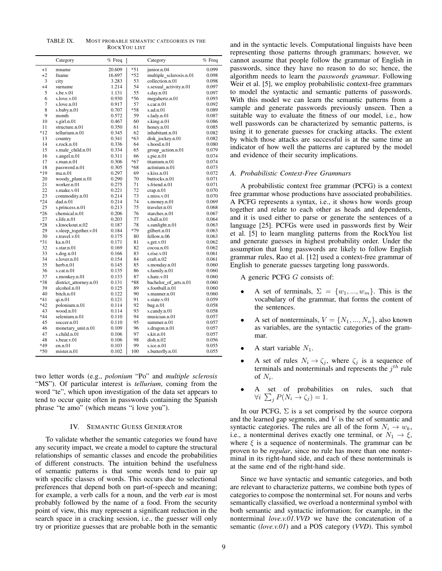<span id="page-8-1"></span>TABLE IX. MOST PROBABLE SEMANTIC CATEGORIES IN THE ROCKYOU LIST

|       | Category               | $%$ Freq |       | Category                | % Freq |
|-------|------------------------|----------|-------|-------------------------|--------|
| $+1$  | mname                  | 20.609   | $*51$ | junior.n.04             | 0.099  |
| $+2$  | fname                  | 16.697   | $*52$ | multiple sclerosis.n.01 | 0.098  |
| 3     | city                   | 3.283    | 53    | collection.n.01         | 0.098  |
| $+4$  | surname                | 1.214    | 54    | s.sexual_activity.n.01  | 0.097  |
| 5     | s.be.v.01              | 1.131    | 55    | s.day.n.01              | 0.097  |
| 6     | s.love.v.01            | 0.930    | $*56$ | megahertz.n.01          | 0.093  |
| 7     | s.love.n.01            | 0.917    | 57    | s. car.n.01             | 0.092  |
| 8     | s.baby.n.01            | 0.707    | $*58$ | s.ad.n.01               | 0.089  |
| 9     | month                  | 0.572    | 59    | s.lady.n.01             | 0.087  |
| 10    | s.girl.n.01            | 0.467    | 60    | s.king.n.01             | 0.086  |
| 11    | structure.n.01         | 0.350    | 61    | honey.n.01              | 0.085  |
| $*12$ | tellurium.n.01         | 0.345    | 62    | inhabitant.n.01         | 0.082  |
| 13    | country                | 0.341    | $*63$ | disk_jockey.n.01        | 0.082  |
| 14    | s.rock.n.01            | 0.336    | 64    | s.hood.n.01             | 0.080  |
| 15    | s.male_child.n.01      | 0.334    | 65    | group_action.n.01       | 0.079  |
| 16    | s.angel.n.01           | 0.311    | 66    | s.pie.n.01              | 0.074  |
| 17    | s.man.n.01             | 0.306    | $*67$ | titanium.n.01           | 0.074  |
| 18    | password.n.01          | 0.305    | $*68$ | actinium.n.01           | 0.073  |
| $*19$ | ma.n.01                | 0.297    | 69    | s.kiss.n.01             | 0.072  |
| 20    | woody_plant.n.01       | 0.290    | 70    | buttocks.n.01           | 0.071  |
| 21    | worker.n.01            | 0.275    | 71    | s.friend.n.01           | 0.071  |
| 22    | s.make.v.01            | 0.221    | 72    | crap.n.01               | 0.070  |
| 23    | commodity.n.01         | 0.214    | 73    | s.miss.v.01             | 0.070  |
| $*24$ | dad.n.01               | 0.214    | 74    | s.money.n.01            | 0.069  |
| 25    | s.princess.n.01        | 0.213    | 75    | traveler.n.01           | 0.068  |
| $*26$ | chemical.n.01          | 0.206    | 76    | starches.n.01           | 0.067  |
| 27    | s.life.n.01            | 0.203    | 77    | s.ball.n.01             | 0.064  |
| $*28$ | s.knockout.n.02        | 0.187    | 78    | s.sunlight.n.01         | 0.063  |
| 29    | s.sleep_together.v.01  | 0.184    | $*79$ | gilbert.n.01            | 0.063  |
| 30    | s.travel.v.01          | 0.175    | 80    | fellow.n.06             | 0.063  |
| $*31$ | $k$ a.n. $01$          | 0.171    | 81    | s.get.v.01              | 0.062  |
| 32    | s.star.n.01            | 0.169    | 82    | cocoa.n.01              | 0.062  |
| 33    | s.dog.n.01             | 0.166    | 83    | s.rise.v.01             | 0.061  |
| 34    | s.lover.n.01           | 0.154    | 84    | craft.n.02              | 0.061  |
| 35    | herb.n.01              | 0.145    | 85    | s.monday.n.01           | 0.060  |
| 36    | s.cat.n.01             | 0.135    | 86    | s.family.n.01           | 0.060  |
| 37    | s.monkey.n.01          | 0.133    | 87    | s.hate.v.01             | 0.060  |
| $*38$ | district_attorney.n.01 | 0.131    | *88   | bachelor_of_arts.n.01   | 0.060  |
| 39    | alcohol.n.01           | 0.125    | 89    | s.football.n.01         | 0.060  |
| 40    | bitch.n.01             | 0.122    | 90    | s.manner.n.01           | 0.060  |
| $*41$ | $q$ i.n. $01$          | 0.121    | 91    | s.state.v.01            | 0.059  |
| $*42$ | polonium.n.01          | 0.114    | 92    | bug.n.01                | 0.058  |
| 43    | wood.n.01              | 0.114    | 93    | s.candy.n.01            | 0.058  |
| $*44$ | selenium.n.01          | 0.110    | 94    | musician.n.01           | 0.057  |
| 45    | soccer.n.01            | 0.110    | 95    | summer.n.01             | 0.057  |
| 46    | monetary_unit.n.01     | 0.109    | 96    | s.dragon.n.01           | 0.057  |
| 47    | s.child.n.01           | 0.106    | 97    | s.kit.n.01              | 0.057  |
| 48    | s.bear.v.01            | 0.106    | 98    | dish.n.02               | 0.056  |
| $*49$ | en.n.01                | 0.103    | 99    | s.ice.n.01              | 0.055  |
| $*50$ | mister.n.01            | 0.102    | 100   | s.butterfly.n.01        | 0.055  |

two letter words (e.g., *polonium* "Po" and *multiple sclerosis* "MS"). Of particular interest is *tellurium*, coming from the word "te", which upon investigation of the data set appears to tend to occur quite often in passwords containing the Spanish phrase "te amo" (which means "i love you").

# IV. SEMANTIC GUESS GENERATOR

<span id="page-8-0"></span>To validate whether the semantic categories we found have any security impact, we create a model to capture the structural relationships of semantic classes and encode the probabilities of different constructs. The intuition behind the usefulness of semantic patterns is that some words tend to pair up with specific classes of words. This occurs due to selectional preferences that depend both on part-of-speech and meaning; for example, a verb calls for a noun, and the verb *eat* is most probably followed by the name of a food. From the security point of view, this may represent a significant reduction in the search space in a cracking session, i.e., the guesser will only try or prioritize guesses that are probable both in the semantic and in the syntactic levels. Computational linguists have been representing those patterns through grammars; however, we cannot assume that people follow the grammar of English in passwords, since they have no reason to do so; hence, the algorithm needs to learn the *passwords grammar*. Following Weir et al. [\[5\]](#page-14-4), we employ probabilistic context-free grammars to model the syntactic and semantic patterns of passwords. With this model we can learn the semantic patterns from a sample and generate passwords previously unseen. Then a suitable way to evaluate the fitness of our model, i.e., how well passwords can be characterized by semantic patterns, is using it to generate guesses for cracking attacks. The extent by which those attacks are successful is at the same time an indicator of how well the patterns are captured by the model and evidence of their security implications.

## *A. Probabilistic Context-Free Grammars*

A probabilistic context free grammar (PCFG) is a context free grammar whose productions have associated probabilities. A PCFG represents a syntax, i.e., it shows how words group together and relate to each other as heads and dependents, and it is used either to parse or generate the sentences of a language [\[25\]](#page-15-0). PCFGs were used in passwords first by Weir et al. [\[5\]](#page-14-4) to learn mangling patterns from the RockYou list and generate guesses in highest probability order. Under the assumption that long passwords are likely to follow English grammar rules, Rao et al. [\[12\]](#page-14-11) used a context-free grammar of English to generate guesses targeting long passwords.

A generic PCFG G consists of:

- A set of terminals,  $\Sigma = \{w_1, ..., w_m\}$ . This is the vocabulary of the grammar, that forms the content of the sentences.
- A set of nonterminals,  $V = \{N_1, ..., N_n\}$ , also known as variables, are the syntactic categories of the grammar.
- A start variable  $N_1$ .
- A set of rules  $N_i \rightarrow \zeta_j$ , where  $\zeta_j$  is a sequence of terminals and nonterminals and represents the  $j<sup>th</sup>$  rule of  $N_i$ .
- A set of probabilities on rules, such that  $\forall i \sum_j P(N_i \rightarrow \zeta_j) = 1.$

In our PCFG,  $\Sigma$  is a set comprised by the source corpora and the learned gap segments, and  $V$  is the set of semantic and syntactic categories. The rules are all of the form  $N_i \rightarrow w_k$ , i.e., a nonterminal derives exactly one terminal, or  $N_1 \rightarrow \xi$ , where  $\xi$  is a sequence of nonterminals. The grammar can be proven to be *regular*, since no rule has more than one nonterminal in its right-hand side, and each of these nonterminals is at the same end of the right-hand side.

Since we have syntactic and semantic categories, and both are relevant to characterize patterns, we combine both types of categories to compose the nonterminal set. For nouns and verbs semantically classified, we overload a nonterminal symbol with both semantic and syntactic information; for example, in the nonterminal *love.v.01.VVD* we have the concatenation of a semantic (*love.v.01*) and a POS category (*VVD*). This symbol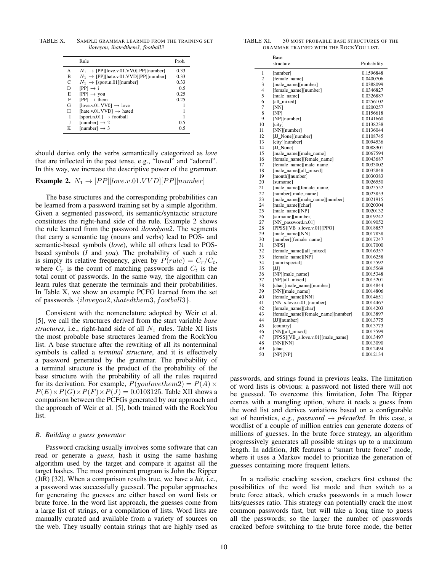<span id="page-9-1"></span>TABLE X. SAMPLE GRAMMAR LEARNED FROM THE TRAINING SET *iloveyou, ihatedthem3, football3*

 $\overline{a}$ 

|   | Rule                                               | Prob. |
|---|----------------------------------------------------|-------|
| A | $N_1 \rightarrow [PP][love.v.01.VV0][PP][number]$  | 0.33  |
| B | $N_1 \rightarrow [PP]$ [hate.v.01.VVD][PP][number] | 0.33  |
| C | $N_1 \rightarrow$ [sport.n.01][number]             | 0.33  |
| D | $[PP] \rightarrow i$                               | 0.5   |
| E | $[PP] \rightarrow \text{you}$                      | 0.25  |
| F | $[PP] \rightarrow \text{them}$                     | 0.25  |
| G | [love.v.01.VV0] $\rightarrow$ love                 |       |
| H | [hate.v.01.VVD] $\rightarrow$ hated                |       |
| Ī | $[sport.n.01] \rightarrow football$                |       |
| J | [number] $\rightarrow$ 2                           | 0.5   |
| K | [number] $\rightarrow$ 3                           | 0.5   |

should derive only the verbs semantically categorized as *love* that are inflected in the past tense, e.g., "loved" and "adored". In this way, we increase the descriptive power of the grammar.

<span id="page-9-0"></span>**Example 2.**  $N_1 \rightarrow [PP][love.v.01.VVD][PP][number]$ 

The base structures and the corresponding probabilities can be learned from a password training set by a simple algorithm. Given a segmented password, its semantic/syntactic structure constitutes the right-hand side of the rule. Example [2](#page-9-0) shows the rule learned from the password *ilovedyou2*. The segments that carry a semantic tag (nouns and verbs) lead to POS- and semantic-based symbols (*love*), while all others lead to POSbased symbols (*I* and *you*). The probability of such a rule is simply its relative frequency, given by  $P(rule) = C_r/C_t$ , where  $C_r$  is the count of matching passwords and  $C_t$  is the total count of passwords. In the same way, the algorithm can learn rules that generate the terminals and their probabilities. In Table [X,](#page-9-1) we show an example PCFG learned from the set of passwords {iloveyou2, ihatedthem3, football3}.

Consistent with the nomenclature adopted by Weir et al. [\[5\]](#page-14-4), we call the structures derived from the start variable *base structures*, i.e., right-hand side of all  $N_1$  rules. Table [XI](#page-9-2) lists the most probable base structures learned from the RockYou list. A base structure after the rewriting of all its nonterminal symbols is called a *terminal structure*, and it is effectively a password generated by the grammar. The probability of a terminal structure is the product of the probability of the base structure with the probability of all the rules required for its derivation. For example,  $P(youlovethem2) = P(A) \times$  $P(E) \times P(G) \times P(F) \times P(J) = 0.0103125$ . Table [XII](#page-10-0) shows a comparison between the PCFGs generated by our approach and the approach of Weir et al. [\[5\]](#page-14-4), both trained with the RockYou list.

## *B. Building a guess generator*

Password cracking usually involves some software that can read or generate a *guess*, hash it using the same hashing algorithm used by the target and compare it against all the target hashes. The most prominent program is John the Ripper (JtR) [\[32\]](#page-15-7). When a comparison results true, we have a *hit*, i.e., a password was successfully guessed. The popular approaches for generating the guesses are either based on word lists or brute force. In the word list approach, the guesses come from a large list of strings, or a compilation of lists. Word lists are manually curated and available from a variety of sources on the web. They usually contain strings that are highly used as

#### <span id="page-9-2"></span>TABLE XI. 50 MOST PROBABLE BASE STRUCTURES OF THE GRAMMAR TRAINED WITH THE ROCKYOU LIST.

| Probability<br>structure<br>1<br>0.1596848<br>[number]<br>$\overline{c}$<br>[female name]<br>0.0400706<br>3<br>[male name][number]<br>0.0388099<br>$\overline{\mathbf{4}}$<br>[female_name][number]<br>0.0346827<br>5<br>[male_name]<br>0.0326887<br>6<br>[all mixed]<br>0.0256102<br>$\overline{7}$<br>[NN]<br>0.0200257<br>8<br>0.0156618<br>[NP]<br>9<br>[NP][number]<br>0.0141660<br>0.0138238<br>10<br>[city]<br>0.0136044<br>11<br>[NN][number]<br>[JJ_None][number]<br>0.0108745<br>12<br>13<br>[city][number]<br>0.0094536<br>[JJ None]<br>14<br>0.0088301<br>15<br>[male_name][male_name]<br>0.0067594<br>[female_name][female_name]<br>16<br>0.0043687<br>17<br>[female_name][male_name]<br>0.0033002<br>18<br>[male_name][all_mixed]<br>0.0032848<br>19<br>[month][number]<br>0.0030383<br>0.0026550<br>20<br>[surname]<br>21<br>[male_name][female_name]<br>0.0025552<br>22<br>[number][male_name]<br>0.0023853<br>23<br>[male_name][male_name][number]<br>0.0021915<br>24<br>[male_name][char]<br>0.0020304<br>25<br>[male_name][NP]<br>0.0020132<br>26<br>[surname][number]<br>0.0019242<br>27<br>[NN_password.n.01]<br>0.0019052<br>[PPSS][VB s.love.v.01][PPO]<br>28<br>0.0018857<br>29<br>[male_name][NN]<br>0.0017838<br>30<br>[number][female_name]<br>0.0017247<br>31<br>0.0017000<br>[NPS]<br>32<br>[female name][all mixed]<br>0.0016357<br>33<br>[female_name][NP]<br>0.0016258<br>34<br>[num+special]<br>0.0015592<br>35<br>0.0015569<br>ſJЛ<br>0.0015348<br>36<br>[NP][male_name]<br>37<br>[NP][all_mixed]<br>0.0015201<br>38<br>[char][male_name][number]<br>0.0014844<br>[NN][male_name]<br>39<br>0.0014806<br>[female name][NN]<br>40<br>0.0014651<br>41<br>$[NN_s, love.n.01][number]$<br>0.0014467<br>42<br>[female_name][char]<br>0.0014203<br>43<br>[female_name][female_name][number]<br>0.0013897<br>44<br>$[JJ]$ [number]<br>0.0013775<br>45<br>[country]<br>0.0013773<br>46<br>[NN][all mixed]<br>0.0013599<br>[PPSS][VB_s.love.v.01][male_name]<br>47<br>0.0013497<br>48<br>0.0013090<br>[NN][NN]<br>49<br>0.0012494<br>[char]<br>50<br>[NP][NP]<br>0.0012134 | Base |  |
|----------------------------------------------------------------------------------------------------------------------------------------------------------------------------------------------------------------------------------------------------------------------------------------------------------------------------------------------------------------------------------------------------------------------------------------------------------------------------------------------------------------------------------------------------------------------------------------------------------------------------------------------------------------------------------------------------------------------------------------------------------------------------------------------------------------------------------------------------------------------------------------------------------------------------------------------------------------------------------------------------------------------------------------------------------------------------------------------------------------------------------------------------------------------------------------------------------------------------------------------------------------------------------------------------------------------------------------------------------------------------------------------------------------------------------------------------------------------------------------------------------------------------------------------------------------------------------------------------------------------------------------------------------------------------------------------------------------------------------------------------------------------------------------------------------------------------------------------------------------------------------------------------------------------------------------------------------------------------------------------------------------------------------------------------------------------------------------------------|------|--|
|                                                                                                                                                                                                                                                                                                                                                                                                                                                                                                                                                                                                                                                                                                                                                                                                                                                                                                                                                                                                                                                                                                                                                                                                                                                                                                                                                                                                                                                                                                                                                                                                                                                                                                                                                                                                                                                                                                                                                                                                                                                                                                    |      |  |
|                                                                                                                                                                                                                                                                                                                                                                                                                                                                                                                                                                                                                                                                                                                                                                                                                                                                                                                                                                                                                                                                                                                                                                                                                                                                                                                                                                                                                                                                                                                                                                                                                                                                                                                                                                                                                                                                                                                                                                                                                                                                                                    |      |  |
|                                                                                                                                                                                                                                                                                                                                                                                                                                                                                                                                                                                                                                                                                                                                                                                                                                                                                                                                                                                                                                                                                                                                                                                                                                                                                                                                                                                                                                                                                                                                                                                                                                                                                                                                                                                                                                                                                                                                                                                                                                                                                                    |      |  |
|                                                                                                                                                                                                                                                                                                                                                                                                                                                                                                                                                                                                                                                                                                                                                                                                                                                                                                                                                                                                                                                                                                                                                                                                                                                                                                                                                                                                                                                                                                                                                                                                                                                                                                                                                                                                                                                                                                                                                                                                                                                                                                    |      |  |
|                                                                                                                                                                                                                                                                                                                                                                                                                                                                                                                                                                                                                                                                                                                                                                                                                                                                                                                                                                                                                                                                                                                                                                                                                                                                                                                                                                                                                                                                                                                                                                                                                                                                                                                                                                                                                                                                                                                                                                                                                                                                                                    |      |  |
|                                                                                                                                                                                                                                                                                                                                                                                                                                                                                                                                                                                                                                                                                                                                                                                                                                                                                                                                                                                                                                                                                                                                                                                                                                                                                                                                                                                                                                                                                                                                                                                                                                                                                                                                                                                                                                                                                                                                                                                                                                                                                                    |      |  |
|                                                                                                                                                                                                                                                                                                                                                                                                                                                                                                                                                                                                                                                                                                                                                                                                                                                                                                                                                                                                                                                                                                                                                                                                                                                                                                                                                                                                                                                                                                                                                                                                                                                                                                                                                                                                                                                                                                                                                                                                                                                                                                    |      |  |
|                                                                                                                                                                                                                                                                                                                                                                                                                                                                                                                                                                                                                                                                                                                                                                                                                                                                                                                                                                                                                                                                                                                                                                                                                                                                                                                                                                                                                                                                                                                                                                                                                                                                                                                                                                                                                                                                                                                                                                                                                                                                                                    |      |  |
|                                                                                                                                                                                                                                                                                                                                                                                                                                                                                                                                                                                                                                                                                                                                                                                                                                                                                                                                                                                                                                                                                                                                                                                                                                                                                                                                                                                                                                                                                                                                                                                                                                                                                                                                                                                                                                                                                                                                                                                                                                                                                                    |      |  |
|                                                                                                                                                                                                                                                                                                                                                                                                                                                                                                                                                                                                                                                                                                                                                                                                                                                                                                                                                                                                                                                                                                                                                                                                                                                                                                                                                                                                                                                                                                                                                                                                                                                                                                                                                                                                                                                                                                                                                                                                                                                                                                    |      |  |
|                                                                                                                                                                                                                                                                                                                                                                                                                                                                                                                                                                                                                                                                                                                                                                                                                                                                                                                                                                                                                                                                                                                                                                                                                                                                                                                                                                                                                                                                                                                                                                                                                                                                                                                                                                                                                                                                                                                                                                                                                                                                                                    |      |  |
|                                                                                                                                                                                                                                                                                                                                                                                                                                                                                                                                                                                                                                                                                                                                                                                                                                                                                                                                                                                                                                                                                                                                                                                                                                                                                                                                                                                                                                                                                                                                                                                                                                                                                                                                                                                                                                                                                                                                                                                                                                                                                                    |      |  |
|                                                                                                                                                                                                                                                                                                                                                                                                                                                                                                                                                                                                                                                                                                                                                                                                                                                                                                                                                                                                                                                                                                                                                                                                                                                                                                                                                                                                                                                                                                                                                                                                                                                                                                                                                                                                                                                                                                                                                                                                                                                                                                    |      |  |
|                                                                                                                                                                                                                                                                                                                                                                                                                                                                                                                                                                                                                                                                                                                                                                                                                                                                                                                                                                                                                                                                                                                                                                                                                                                                                                                                                                                                                                                                                                                                                                                                                                                                                                                                                                                                                                                                                                                                                                                                                                                                                                    |      |  |
|                                                                                                                                                                                                                                                                                                                                                                                                                                                                                                                                                                                                                                                                                                                                                                                                                                                                                                                                                                                                                                                                                                                                                                                                                                                                                                                                                                                                                                                                                                                                                                                                                                                                                                                                                                                                                                                                                                                                                                                                                                                                                                    |      |  |
|                                                                                                                                                                                                                                                                                                                                                                                                                                                                                                                                                                                                                                                                                                                                                                                                                                                                                                                                                                                                                                                                                                                                                                                                                                                                                                                                                                                                                                                                                                                                                                                                                                                                                                                                                                                                                                                                                                                                                                                                                                                                                                    |      |  |
|                                                                                                                                                                                                                                                                                                                                                                                                                                                                                                                                                                                                                                                                                                                                                                                                                                                                                                                                                                                                                                                                                                                                                                                                                                                                                                                                                                                                                                                                                                                                                                                                                                                                                                                                                                                                                                                                                                                                                                                                                                                                                                    |      |  |
|                                                                                                                                                                                                                                                                                                                                                                                                                                                                                                                                                                                                                                                                                                                                                                                                                                                                                                                                                                                                                                                                                                                                                                                                                                                                                                                                                                                                                                                                                                                                                                                                                                                                                                                                                                                                                                                                                                                                                                                                                                                                                                    |      |  |
|                                                                                                                                                                                                                                                                                                                                                                                                                                                                                                                                                                                                                                                                                                                                                                                                                                                                                                                                                                                                                                                                                                                                                                                                                                                                                                                                                                                                                                                                                                                                                                                                                                                                                                                                                                                                                                                                                                                                                                                                                                                                                                    |      |  |
|                                                                                                                                                                                                                                                                                                                                                                                                                                                                                                                                                                                                                                                                                                                                                                                                                                                                                                                                                                                                                                                                                                                                                                                                                                                                                                                                                                                                                                                                                                                                                                                                                                                                                                                                                                                                                                                                                                                                                                                                                                                                                                    |      |  |
|                                                                                                                                                                                                                                                                                                                                                                                                                                                                                                                                                                                                                                                                                                                                                                                                                                                                                                                                                                                                                                                                                                                                                                                                                                                                                                                                                                                                                                                                                                                                                                                                                                                                                                                                                                                                                                                                                                                                                                                                                                                                                                    |      |  |
|                                                                                                                                                                                                                                                                                                                                                                                                                                                                                                                                                                                                                                                                                                                                                                                                                                                                                                                                                                                                                                                                                                                                                                                                                                                                                                                                                                                                                                                                                                                                                                                                                                                                                                                                                                                                                                                                                                                                                                                                                                                                                                    |      |  |
|                                                                                                                                                                                                                                                                                                                                                                                                                                                                                                                                                                                                                                                                                                                                                                                                                                                                                                                                                                                                                                                                                                                                                                                                                                                                                                                                                                                                                                                                                                                                                                                                                                                                                                                                                                                                                                                                                                                                                                                                                                                                                                    |      |  |
|                                                                                                                                                                                                                                                                                                                                                                                                                                                                                                                                                                                                                                                                                                                                                                                                                                                                                                                                                                                                                                                                                                                                                                                                                                                                                                                                                                                                                                                                                                                                                                                                                                                                                                                                                                                                                                                                                                                                                                                                                                                                                                    |      |  |
|                                                                                                                                                                                                                                                                                                                                                                                                                                                                                                                                                                                                                                                                                                                                                                                                                                                                                                                                                                                                                                                                                                                                                                                                                                                                                                                                                                                                                                                                                                                                                                                                                                                                                                                                                                                                                                                                                                                                                                                                                                                                                                    |      |  |
|                                                                                                                                                                                                                                                                                                                                                                                                                                                                                                                                                                                                                                                                                                                                                                                                                                                                                                                                                                                                                                                                                                                                                                                                                                                                                                                                                                                                                                                                                                                                                                                                                                                                                                                                                                                                                                                                                                                                                                                                                                                                                                    |      |  |
|                                                                                                                                                                                                                                                                                                                                                                                                                                                                                                                                                                                                                                                                                                                                                                                                                                                                                                                                                                                                                                                                                                                                                                                                                                                                                                                                                                                                                                                                                                                                                                                                                                                                                                                                                                                                                                                                                                                                                                                                                                                                                                    |      |  |
|                                                                                                                                                                                                                                                                                                                                                                                                                                                                                                                                                                                                                                                                                                                                                                                                                                                                                                                                                                                                                                                                                                                                                                                                                                                                                                                                                                                                                                                                                                                                                                                                                                                                                                                                                                                                                                                                                                                                                                                                                                                                                                    |      |  |
|                                                                                                                                                                                                                                                                                                                                                                                                                                                                                                                                                                                                                                                                                                                                                                                                                                                                                                                                                                                                                                                                                                                                                                                                                                                                                                                                                                                                                                                                                                                                                                                                                                                                                                                                                                                                                                                                                                                                                                                                                                                                                                    |      |  |
|                                                                                                                                                                                                                                                                                                                                                                                                                                                                                                                                                                                                                                                                                                                                                                                                                                                                                                                                                                                                                                                                                                                                                                                                                                                                                                                                                                                                                                                                                                                                                                                                                                                                                                                                                                                                                                                                                                                                                                                                                                                                                                    |      |  |
|                                                                                                                                                                                                                                                                                                                                                                                                                                                                                                                                                                                                                                                                                                                                                                                                                                                                                                                                                                                                                                                                                                                                                                                                                                                                                                                                                                                                                                                                                                                                                                                                                                                                                                                                                                                                                                                                                                                                                                                                                                                                                                    |      |  |
|                                                                                                                                                                                                                                                                                                                                                                                                                                                                                                                                                                                                                                                                                                                                                                                                                                                                                                                                                                                                                                                                                                                                                                                                                                                                                                                                                                                                                                                                                                                                                                                                                                                                                                                                                                                                                                                                                                                                                                                                                                                                                                    |      |  |
|                                                                                                                                                                                                                                                                                                                                                                                                                                                                                                                                                                                                                                                                                                                                                                                                                                                                                                                                                                                                                                                                                                                                                                                                                                                                                                                                                                                                                                                                                                                                                                                                                                                                                                                                                                                                                                                                                                                                                                                                                                                                                                    |      |  |
|                                                                                                                                                                                                                                                                                                                                                                                                                                                                                                                                                                                                                                                                                                                                                                                                                                                                                                                                                                                                                                                                                                                                                                                                                                                                                                                                                                                                                                                                                                                                                                                                                                                                                                                                                                                                                                                                                                                                                                                                                                                                                                    |      |  |
|                                                                                                                                                                                                                                                                                                                                                                                                                                                                                                                                                                                                                                                                                                                                                                                                                                                                                                                                                                                                                                                                                                                                                                                                                                                                                                                                                                                                                                                                                                                                                                                                                                                                                                                                                                                                                                                                                                                                                                                                                                                                                                    |      |  |
|                                                                                                                                                                                                                                                                                                                                                                                                                                                                                                                                                                                                                                                                                                                                                                                                                                                                                                                                                                                                                                                                                                                                                                                                                                                                                                                                                                                                                                                                                                                                                                                                                                                                                                                                                                                                                                                                                                                                                                                                                                                                                                    |      |  |
|                                                                                                                                                                                                                                                                                                                                                                                                                                                                                                                                                                                                                                                                                                                                                                                                                                                                                                                                                                                                                                                                                                                                                                                                                                                                                                                                                                                                                                                                                                                                                                                                                                                                                                                                                                                                                                                                                                                                                                                                                                                                                                    |      |  |
|                                                                                                                                                                                                                                                                                                                                                                                                                                                                                                                                                                                                                                                                                                                                                                                                                                                                                                                                                                                                                                                                                                                                                                                                                                                                                                                                                                                                                                                                                                                                                                                                                                                                                                                                                                                                                                                                                                                                                                                                                                                                                                    |      |  |
|                                                                                                                                                                                                                                                                                                                                                                                                                                                                                                                                                                                                                                                                                                                                                                                                                                                                                                                                                                                                                                                                                                                                                                                                                                                                                                                                                                                                                                                                                                                                                                                                                                                                                                                                                                                                                                                                                                                                                                                                                                                                                                    |      |  |
|                                                                                                                                                                                                                                                                                                                                                                                                                                                                                                                                                                                                                                                                                                                                                                                                                                                                                                                                                                                                                                                                                                                                                                                                                                                                                                                                                                                                                                                                                                                                                                                                                                                                                                                                                                                                                                                                                                                                                                                                                                                                                                    |      |  |
|                                                                                                                                                                                                                                                                                                                                                                                                                                                                                                                                                                                                                                                                                                                                                                                                                                                                                                                                                                                                                                                                                                                                                                                                                                                                                                                                                                                                                                                                                                                                                                                                                                                                                                                                                                                                                                                                                                                                                                                                                                                                                                    |      |  |
|                                                                                                                                                                                                                                                                                                                                                                                                                                                                                                                                                                                                                                                                                                                                                                                                                                                                                                                                                                                                                                                                                                                                                                                                                                                                                                                                                                                                                                                                                                                                                                                                                                                                                                                                                                                                                                                                                                                                                                                                                                                                                                    |      |  |
|                                                                                                                                                                                                                                                                                                                                                                                                                                                                                                                                                                                                                                                                                                                                                                                                                                                                                                                                                                                                                                                                                                                                                                                                                                                                                                                                                                                                                                                                                                                                                                                                                                                                                                                                                                                                                                                                                                                                                                                                                                                                                                    |      |  |
|                                                                                                                                                                                                                                                                                                                                                                                                                                                                                                                                                                                                                                                                                                                                                                                                                                                                                                                                                                                                                                                                                                                                                                                                                                                                                                                                                                                                                                                                                                                                                                                                                                                                                                                                                                                                                                                                                                                                                                                                                                                                                                    |      |  |
|                                                                                                                                                                                                                                                                                                                                                                                                                                                                                                                                                                                                                                                                                                                                                                                                                                                                                                                                                                                                                                                                                                                                                                                                                                                                                                                                                                                                                                                                                                                                                                                                                                                                                                                                                                                                                                                                                                                                                                                                                                                                                                    |      |  |
|                                                                                                                                                                                                                                                                                                                                                                                                                                                                                                                                                                                                                                                                                                                                                                                                                                                                                                                                                                                                                                                                                                                                                                                                                                                                                                                                                                                                                                                                                                                                                                                                                                                                                                                                                                                                                                                                                                                                                                                                                                                                                                    |      |  |
|                                                                                                                                                                                                                                                                                                                                                                                                                                                                                                                                                                                                                                                                                                                                                                                                                                                                                                                                                                                                                                                                                                                                                                                                                                                                                                                                                                                                                                                                                                                                                                                                                                                                                                                                                                                                                                                                                                                                                                                                                                                                                                    |      |  |
|                                                                                                                                                                                                                                                                                                                                                                                                                                                                                                                                                                                                                                                                                                                                                                                                                                                                                                                                                                                                                                                                                                                                                                                                                                                                                                                                                                                                                                                                                                                                                                                                                                                                                                                                                                                                                                                                                                                                                                                                                                                                                                    |      |  |
|                                                                                                                                                                                                                                                                                                                                                                                                                                                                                                                                                                                                                                                                                                                                                                                                                                                                                                                                                                                                                                                                                                                                                                                                                                                                                                                                                                                                                                                                                                                                                                                                                                                                                                                                                                                                                                                                                                                                                                                                                                                                                                    |      |  |
|                                                                                                                                                                                                                                                                                                                                                                                                                                                                                                                                                                                                                                                                                                                                                                                                                                                                                                                                                                                                                                                                                                                                                                                                                                                                                                                                                                                                                                                                                                                                                                                                                                                                                                                                                                                                                                                                                                                                                                                                                                                                                                    |      |  |
|                                                                                                                                                                                                                                                                                                                                                                                                                                                                                                                                                                                                                                                                                                                                                                                                                                                                                                                                                                                                                                                                                                                                                                                                                                                                                                                                                                                                                                                                                                                                                                                                                                                                                                                                                                                                                                                                                                                                                                                                                                                                                                    |      |  |
|                                                                                                                                                                                                                                                                                                                                                                                                                                                                                                                                                                                                                                                                                                                                                                                                                                                                                                                                                                                                                                                                                                                                                                                                                                                                                                                                                                                                                                                                                                                                                                                                                                                                                                                                                                                                                                                                                                                                                                                                                                                                                                    |      |  |

passwords, and strings found in previous leaks. The limitation of word lists is obvious: a password not listed there will not be guessed. To overcome this limitation, John The Ripper comes with a mangling option, where it reads a guess from the word list and derives variations based on a configurable set of heuristics, e.g., *password*  $\rightarrow$  *p4ssw0rd*. In this case, a wordlist of a couple of million entries can generate dozens of millions of guesses. In the brute force strategy, an algorithm progressively generates all possible strings up to a maximum length. In addition, JtR features a "smart brute force" mode, where it uses a Markov model to prioritize the generation of guesses containing more frequent letters.

In a realistic cracking session, crackers first exhaust the possibilities of the word list mode and then switch to a brute force attack, which cracks passwords in a much lower hits/guesses ratio. This strategy can potentially crack the most common passwords fast, but will take a long time to guess all the passwords; so the larger the number of passwords cracked before switching to the brute force mode, the better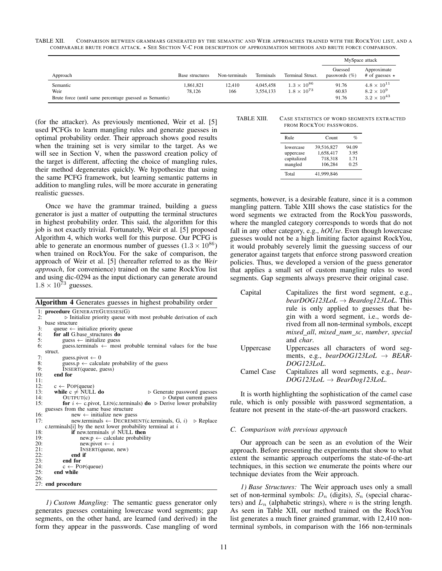<span id="page-10-0"></span>TABLE XII. COMPARISON BETWEEN GRAMMARS GENERATED BY THE SEMANTIC AND WEIR APPROACHES TRAINED WITH THE ROCKYOU LIST, AND A COMPARABLE BRUTE FORCE ATTACK. \* SEE SECTION [V-C](#page-12-0) FOR DESCRIPTION OF APPROXIMATION METHODS AND BRUTE FORCE COMPARISON.

|                                                                             |                     |               |                        |                                              |                              | MySpace attack                                                    |
|-----------------------------------------------------------------------------|---------------------|---------------|------------------------|----------------------------------------------|------------------------------|-------------------------------------------------------------------|
| Approach                                                                    | Base structures     | Non-terminals | Terminals              | Terminal Struct.                             | Guessed<br>passwords $(\% )$ | Approximate<br># of guesses $\star$                               |
| Semantic<br>Weir<br>Brute force (until same percentage guessed as Semantic) | 1.861.821<br>78.126 | 12.410<br>166 | 4,045,458<br>3.554.133 | $1.3 \times 10^{86}$<br>$1.8 \times 10^{73}$ | 91.76<br>60.83<br>91.76      | $4.8 \times 10^{11}$<br>$8.2 \times 10^9$<br>$3.2 \times 10^{43}$ |

(for the attacker). As previously mentioned, Weir et al. [\[5\]](#page-14-4) used PCFGs to learn mangling rules and generate guesses in optimal probability order. Their approach shows good results when the training set is very similar to the target. As we will see in Section [V,](#page-11-0) when the password creation policy of the target is different, affecting the choice of mangling rules, their method degenerates quickly. We hypothesize that using the same PCFG framework, but learning semantic patterns in addition to mangling rules, will be more accurate in generating realistic guesses.

Once we have the grammar trained, building a guess generator is just a matter of outputting the terminal structures in highest probability order. This said, the algorithm for this job is not exactly trivial. Fortunately, Weir et al. [\[5\]](#page-14-4) proposed Algorithm [4,](#page-10-1) which works well for this purpose. Our PCFG is able to generate an enormous number of guesses  $(1.3 \times 10^{86})$ when trained on RockYou. For the sake of comparison, the approach of Weir et al. [\[5\]](#page-14-4) (hereafter referred to as the *Weir approach*, for convenience) trained on the same RockYou list and using dic-0294 as the input dictionary can generate around  $1.8 \times 10^{73}$  guesses.

Algorithm 4 Generates guesses in highest probability order

<span id="page-10-1"></span>

|                 | 1: procedure GENERATEGUESSES(G)                                                                         |
|-----------------|---------------------------------------------------------------------------------------------------------|
| 2:              | $\triangleright$ Initialize priority queue with most probable derivation of each                        |
|                 | base structure                                                                                          |
| 3:              | queue $\leftarrow$ initialize priority queue                                                            |
| 4:              | for all G.base_structures do                                                                            |
| 5:              | guess $\leftarrow$ initialize guess                                                                     |
| 6:              | guess.terminals $\leftarrow$ most probable terminal values for the base                                 |
|                 | struct.                                                                                                 |
| 7:              | guess.pivot $\leftarrow$ 0                                                                              |
| 8:              | guess.p $\leftarrow$ calculate probability of the guess                                                 |
| 9:              | INSERT(queue, guess)                                                                                    |
| 10:             | end for                                                                                                 |
| 11:             |                                                                                                         |
| 12:             | $c \leftarrow POP(queue)$                                                                               |
| 13:             | while $c \neq \text{NULL}$ do<br>$\triangleright$ Generate password guesses                             |
| 14:             | OUTPUT(c)<br>$\triangleright$ Output current guess                                                      |
| 15:             | <b>for</b> $i \leftarrow$ c.pivot, LEN(c.terminals) <b>do</b> $\triangleright$ Derive lower probability |
|                 | guesses from the same base structure                                                                    |
| 16:             | $new \leftarrow$ initialize new guess                                                                   |
| 17:             | new.terminals $\leftarrow$ DECREMENT(c.terminals, G, i)<br>$\triangleright$ Replace                     |
|                 | c.terminals[i] by the next lower probability terminal at $i$                                            |
| 18:             | if new.terminals $\neq$ NULL then                                                                       |
| 19:             | $new.p \leftarrow calculate probability$                                                                |
| 20:             | new.pivot $\leftarrow i$                                                                                |
| $\frac{21}{22}$ | INSERT(queue, new)                                                                                      |
|                 | end if                                                                                                  |
| 23:             | end for                                                                                                 |
| 24:             | $c \leftarrow POP(queue)$                                                                               |
| 25:             | end while                                                                                               |
| 26:             |                                                                                                         |
|                 | 27: end procedure                                                                                       |

<span id="page-10-3"></span>*1) Custom Mangling:* The semantic guess generator only generates guesses containing lowercase word segments; gap segments, on the other hand, are learned (and derived) in the form they appear in the passwords. Case mangling of word

<span id="page-10-2"></span>TABLE XIII. CASE STATISTICS OF WORD SEGMENTS EXTRACTED FROM ROCKYOU PASSWORDS.

| Rule                                             | Count                                         | $\sigma_{\!c}$                |
|--------------------------------------------------|-----------------------------------------------|-------------------------------|
| lowercase<br>uppercase<br>capitalized<br>mangled | 39,516,827<br>1.658.417<br>718.318<br>106.284 | 94.09<br>3.95<br>1.71<br>0.25 |
| Total                                            | 41,999,846                                    |                               |

segments, however, is a desirable feature, since it is a common mangling pattern. Table [XIII](#page-10-2) shows the case statistics for the word segments we extracted from the RockYou passwords, where the mangled category corresponds to words that do not fall in any other category, e.g., *hOUse*. Even though lowercase guesses would not be a high limiting factor against RockYou, it would probably severely limit the guessing success of our generator against targets that enforce strong password creation policies. Thus, we developed a version of the guess generator that applies a small set of custom mangling rules to word segments. Gap segments always preserve their original case.

| Capital    | Capitalizes the first word segment, e.g.,          |
|------------|----------------------------------------------------|
|            | bearDOG123LoL $\rightarrow$ Beardog123LoL. This    |
|            | rule is only applied to guesses that be-           |
|            | gin with a word segment, i.e., words de-           |
|            | rived from all non-terminal symbols, except        |
|            | mixed_all, mixed_num_sc, number, special           |
|            | and <i>char</i> .                                  |
| Uppercase  | Uppercases all characters of word seg-             |
|            | ments, e.g., bearDOG123LoL $\rightarrow$ BEAR-     |
|            | DOG123LoL.                                         |
| Camel Case | Capitalizes all word segments, e.g., <i>bear</i> - |
|            | $DOG123LoL \rightarrow BearDog123LoL.$             |

It is worth highlighting the sophistication of the camel case rule, which is only possible with password segmentation, a feature not present in the state-of-the-art password crackers.

## *C. Comparison with previous approach*

Our approach can be seen as an evolution of the Weir approach. Before presenting the experiments that show to what extent the semantic approach outperfoms the state-of-the-art techniques, in this section we enumerate the points where our technique deviates from the Weir approach.

*1) Base Structures:* The Weir approach uses only a small set of non-terminal symbols:  $D_n$  (digits),  $S_n$  (special characters) and  $L_n$  (alphabetic strings), where n is the string length. As seen in Table [XII,](#page-10-0) our method trained on the RockYou list generates a much finer grained grammar, with 12,410 nonterminal symbols, in comparison with the 166 non-terminals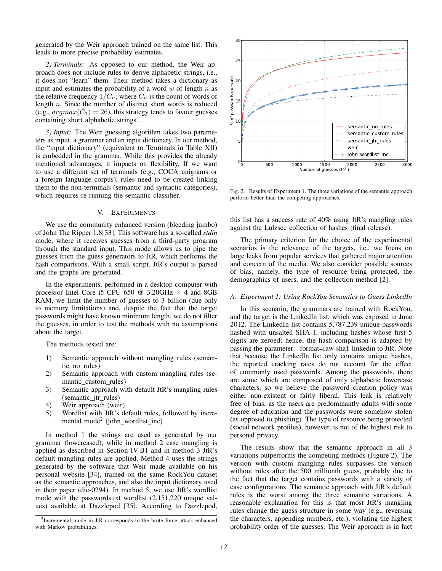generated by the Weir approach trained on the same list. This leads to more precise probability estimates.

*2) Terminals:* As opposed to our method, the Weir approach does not include rules to derive alphabetic strings, i.e., it does not "learn" them. Their method takes a dictionary as input and estimates the probability of a word  $w$  of length  $n$  as the relative frequency  $1/C_n$ , where  $C_n$  is the count of words of length n. Since the number of distinct short words is reduced (e.g.,  $argmax(C_1) = 26$ ), this strategy tends to favour guesses containing short alphabetic strings.

*3) Input:* The Weir guessing algorithm takes two parameters as input, a grammar and an input dictionary. In our method, the "input dictionary" (equivalent to Terminals in Table [XII\)](#page-10-0) is embedded in the grammar. While this provides the already mentioned advantages, it impacts on flexibility. If we want to use a different set of terminals (e.g., COCA unigrams or a foreign language corpus), rules need to be created linking them to the non-terminals (semantic and syntactic categories), which requires re-running the semantic classifier.

## V. EXPERIMENTS

<span id="page-11-0"></span>We use the community enhanced version (bleeding jumbo) of John The Ripper 1.8[\[33\]](#page-15-8). This software has a so-called *stdin* mode, where it receives guesses from a third-party program through the standard input. This mode allows us to pipe the guesses from the guess generators to JtR, which performs the hash comparisons. With a small script, JtR's output is parsed and the graphs are generated.

In the experiments, performed in a desktop computer with processor Intel Core i5 CPU 650  $\omega$  3.20GHz  $\times$  4 and 8GB RAM, we limit the number of guesses to 3 billion (due only to memory limitations) and, despite the fact that the target passwords might have known minimum length, we do not filter the guesses, in order to test the methods with no assumptions about the target.

The methods tested are:

- <span id="page-11-2"></span>1) Semantic approach without mangling rules (semantic no rules)
- <span id="page-11-3"></span>2) Semantic approach with custom mangling rules (semantic custom rules)
- <span id="page-11-4"></span>3) Semantic approach with default JtR's mangling rules (semantic jtr rules)
- <span id="page-11-5"></span>4) Weir approach (weir)
- <span id="page-11-6"></span>5) Wordlist with JtR's default rules, followed by incre-mental mode<sup>[2](#page-11-1)</sup> (john\_wordlist\_inc)

In method [1](#page-11-2) the strings are used as generated by our grammar (lowercased), while in method [2](#page-11-3) case mangling is applied as described in Section [IV-B1](#page-10-3) and in method [3](#page-11-4) JtR's default mangling rules are applied. Method [4](#page-11-5) uses the strings generated by the software that Weir made available on his personal website [\[34\]](#page-15-9), trained on the same RockYou dataset as the semantic approaches, and also the input dictionary used in their paper (dic-0294). In method [5,](#page-11-6) we use JtR's wordlist mode with the passwords.txt wordlist (2,151,220 unique values) available at Dazzlepod [\[35\]](#page-15-10). According to Dazzlepod,



<span id="page-11-7"></span>Fig. 2. Results of Experiment 1. The three variations of the semantic approach perform better than the competing approaches.

this list has a success rate of 40% using JtR's mangling rules against the Lulzsec collection of hashes (final release).

The primary criterion for the choice of the experimental scenarios is the relevance of the targets, i.e., we focus on large leaks from popular services that gathered major attention and concern of the media. We also consider possible sources of bias, namely, the type of resource being protected, the demographics of users, and the collection method [\[2\]](#page-14-1).

## *A. Experiment 1: Using RockYou Semantics to Guess LinkedIn*

In this scenario, the grammars are trained with RockYou, and the target is the LinkedIn list, which was exposed in June 2012. The LinkedIn list contains 5,787,239 unique passwords hashed with unsalted SHA-1, including hashes whose first 5 digits are zeroed; hence, the hash comparison is adapted by passing the parameter --format=raw-sha1-linkedin to JtR. Note that because the LinkedIn list only contains unique hashes, the reported cracking rates do not account for the effect of commonly used passwords. Among the passwords, there are some which are composed of only alphabetic lowercase characters, so we believe the password creation policy was either non-existent or fairly liberal. This leak is relatively free of bias, as the users are predominantly adults with some degree of education and the passwords were somehow stolen (as opposed to phishing). The type of resource being protected (social network profiles), however, is not of the highest risk to personal privacy.

The results show that the semantic approach in all 3 variations outperforms the competing methods (Figure [2\)](#page-11-7). The version with custom mangling rules surpasses the version without rules after the 500 millionth guess, probably due to the fact that the target contains passwords with a variety of case configurations. The semantic approach with JtR's default rules is the worst among the three semantic variations. A reasonable explanation for this is that most JtR's mangling rules change the guess structure in some way (e.g., reversing the characters, appending numbers, etc.), violating the highest probability order of the guesses. The Weir approach is in fact

<span id="page-11-1"></span><sup>&</sup>lt;sup>2</sup>Incremental mode in JtR corresponds to the brute force attack enhanced with Markov probabilities.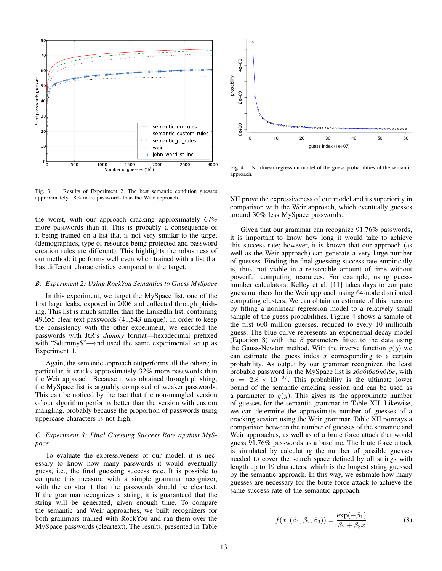

Fig. 3. Results of Experiment 2. The best semantic condition guesses approximately 18% more passwords than the Weir approach.

the worst, with our approach cracking approximately 67% more passwords than it. This is probably a consequence of it being trained on a list that is not very similar to the target (demographics, type of resource being protected and password creation rules are different). This highlights the robustness of our method: it performs well even when trained with a list that has different characteristics compared to the target.

## *B. Experiment 2: Using RockYou Semantics to Guess MySpace*

In this experiment, we target the MySpace list, one of the first large leaks, exposed in 2006 and collected through phishing. This list is much smaller than the LinkedIn list, containing 49,655 clear text passwords (41,543 unique). In order to keep the consistency with the other experiment, we encoded the passwords with JtR's *dummy* format—hexadecimal prefixed with "\$dummy\$"—and used the same experimental setup as Experiment 1.

Again, the semantic approach outperforms all the others; in particular, it cracks approximately 32% more passwords than the Weir approach. Because it was obtained through phishing, the MySpace list is arguably composed of weaker passwords. This can be noticed by the fact that the non-mangled version of our algorithm performs better than the version with custom mangling, probably because the proportion of passwords using uppercase characters is not high.

# <span id="page-12-0"></span>*C. Experiment 3: Final Guessing Success Rate against MySpace*

To evaluate the expressiveness of our model, it is necessary to know how many passwords it would eventually guess, i.e., the final guessing success rate. It is possible to compute this measure with a simple grammar recognizer, with the constraint that the passwords should be cleartext. If the grammar recognizes a string, it is guaranteed that the string will be generated, given enough time. To compare the semantic and Weir approaches, we built recognizers for both grammars trained with RockYou and ran them over the MySpace passwords (cleartext). The results, presented in Table



<span id="page-12-1"></span>Fig. 4. Nonlinear regression model of the guess probabilities of the semantic approach.

[XII](#page-10-0) prove the expressiveness of our model and its superiority in comparison with the Weir approach, which eventually guesses around 30% less MySpace passwords.

Given that our grammar can recognize 91.76% passwords, it is important to know how long it would take to achieve this success rate; however, it is known that our approach (as well as the Weir approach) can generate a very large number of guesses. Finding the final guessing success rate empirically is, thus, not viable in a reasonable amount of time without powerful computing resources. For example, using guessnumber calculators, Kelley et al. [\[11\]](#page-14-10) takes days to compute guess numbers for the Weir approach using 64-node distributed computing clusters. We can obtain an estimate of this measure by fitting a nonlinear regression model to a relatively small sample of the guess probabilities. Figure [4](#page-12-1) shows a sample of the first 600 million guesses, reduced to every 10 millionth guess. The blue curve represents an exponential decay model (Equation [8\)](#page-12-2) with the  $\beta$  parameters fitted to the data using the Gauss-Newton method. With the inverse function  $q(y)$  we can estimate the guess index  $x$  corresponding to a certain probability. As output by our grammar recognizer, the least probable password in the MySpace list is *s6a6t6a6n6i6c*, with  $p = 2.8 \times 10^{-27}$ . This probability is the ultimate lower bound of the semantic cracking session and can be used as a parameter to  $q(y)$ . This gives us the approximate number of guesses for the semantic grammar in Table [XII.](#page-10-0) Likewise, we can determine the approximate number of guesses of a cracking session using the Weir grammar. Table [XII](#page-10-0) portrays a comparison between the number of guesses of the semantic and Weir approaches, as well as of a brute force attack that would guess 91.76% passwords as a baseline. The brute force attack is simulated by calculating the number of possible guesses needed to cover the search space defined by all strings with length up to 19 characters, which is the longest string guessed by the semantic approach. In this way, we estimate how many guesses are necessary for the brute force attack to achieve the same success rate of the semantic approach.

<span id="page-12-2"></span>
$$
f(x, (\beta_1, \beta_2, \beta_3)) = \frac{\exp(-\beta_1)}{\beta_2 + \beta_3 x}
$$
 (8)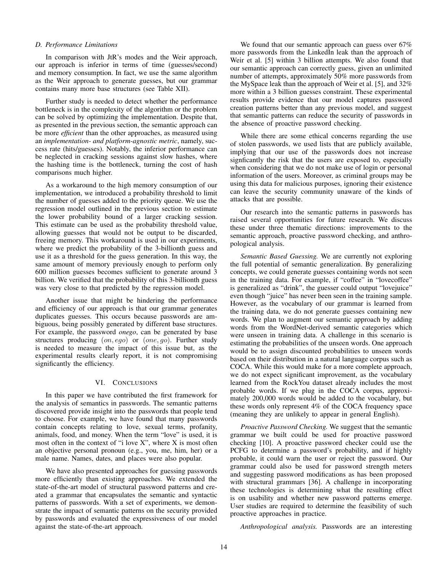## *D. Performance Limitations*

In comparison with JtR's modes and the Weir approach, our approach is inferior in terms of time (guesses/second) and memory consumption. In fact, we use the same algorithm as the Weir approach to generate guesses, but our grammar contains many more base structures (see Table [XII\)](#page-10-0).

Further study is needed to detect whether the performance bottleneck is in the complexity of the algorithm or the problem can be solved by optimizing the implementation. Despite that, as presented in the previous section, the semantic approach can be more *efficient* than the other approaches, as measured using an *implementation- and platform-agnostic metric*, namely, success rate (hits/guesses). Notably, the inferior performance can be neglected in cracking sessions against slow hashes, where the hashing time is the bottleneck, turning the cost of hash comparisons much higher.

As a workaround to the high memory consumption of our implementation, we introduced a probability threshold to limit the number of guesses added to the priority queue. We use the regression model outlined in the previous section to estimate the lower probability bound of a larger cracking session. This estimate can be used as the probability threshold value, allowing guesses that would not be output to be discarded, freeing memory. This workaround is used in our experiments, where we predict the probability of the 3-billionth guess and use it as a threshold for the guess generation. In this way, the same amount of memory previously enough to perform only 600 million guesses becomes sufficient to generate around 3 billion. We verified that the probability of this 3-billionth guess was very close to that predicted by the regression model.

Another issue that might be hindering the performance and efficiency of our approach is that our grammar generates duplicates guesses. This occurs because passwords are ambiguous, being possibly generated by different base structures. For example, the password *onego*, can be generated by base structures producing  $(on, ego)$  or  $(one, go)$ . Further study is needed to measure the impact of this issue but, as the experimental results clearly report, it is not compromising significantly the efficiency.

# VI. CONCLUSIONS

<span id="page-13-0"></span>In this paper we have contributed the first framework for the analysis of semantics in passwords. The semantic patterns discovered provide insight into the passwords that people tend to choose. For example, we have found that many passwords contain concepts relating to love, sexual terms, profanity, animals, food, and money. When the term "love" is used, it is most often in the context of "i love  $X$ ", where  $X$  is most often an objective personal pronoun (e.g., you, me, him, her) or a male name. Names, dates, and places were also popular.

We have also presented approaches for guessing passwords more efficiently than existing approaches. We extended the state-of-the-art model of structural password patterns and created a grammar that encapsulates the semantic and syntactic patterns of passwords. With a set of experiments, we demonstrate the impact of semantic patterns on the security provided by passwords and evaluated the expressiveness of our model against the state-of-the-art approach.

We found that our semantic approach can guess over 67% more passwords from the LinkedIn leak than the approach of Weir et al. [\[5\]](#page-14-4) within 3 billion attempts. We also found that our semantic approach can correctly guess, given an unlimited number of attempts, approximately 50% more passwords from the MySpace leak than the approach of Weir et al. [\[5\]](#page-14-4), and 32% more within a 3 billion guesses constraint. These experimental results provide evidence that our model captures password creation patterns better than any previous model, and suggest that semantic patterns can reduce the security of passwords in the absence of proactive password checking.

While there are some ethical concerns regarding the use of stolen passwords, we used lists that are publicly available, implying that our use of the passwords does not increase signficantly the risk that the users are exposed to, especially when considering that we do not make use of login or personal information of the users. Moreover, as criminal groups may be using this data for malicious purposes, ignoring their existence can leave the security community unaware of the kinds of attacks that are possible.

Our research into the semantic patterns in passwords has raised several opportunities for future research. We discuss these under three thematic directions: improvements to the semantic approach, proactive password checking, and anthropological analysis.

*Semantic Based Guessing.* We are currently not exploring the full potential of semantic generalization. By generalizing concepts, we could generate guesses containing words not seen in the training data. For example, if "coffee" in "lovecoffee" is generalized as "drink", the guesser could output "lovejuice" even though "juice" has never been seen in the training sample. However, as the vocabulary of our grammar is learned from the training data, we do not generate guesses containing new words. We plan to augment our semantic approach by adding words from the WordNet-derived semantic categories which were unseen in training data. A challenge in this scenario is estimating the probabilities of the unseen words. One approach would be to assign discounted probabilities to unseen words based on their distribution in a natural language corpus such as COCA. While this would make for a more complete approach, we do not expect significant improvement, as the vocabulary learned from the RockYou dataset already includes the most probable words. If we plug in the COCA corpus, approximately 200,000 words would be added to the vocabulary, but these words only represent 4% of the COCA frequency space (meaning they are unlikely to appear in general English).

*Proactive Password Checking.* We suggest that the semantic grammar we built could be used for proactive password checking [\[10\]](#page-14-9). A proactive password checker could use the PCFG to determine a password's probability, and if highly probable, it could warn the user or reject the password. Our grammar could also be used for password strength meters and suggesting password modifications as has been proposed with structural grammars [\[36\]](#page-15-11). A challenge in incorporating these technologies is determining what the resulting effect is on usability and whether new password patterns emerge. User studies are required to determine the feasibility of such proactive approaches in practice.

*Anthropological analysis.* Passwords are an interesting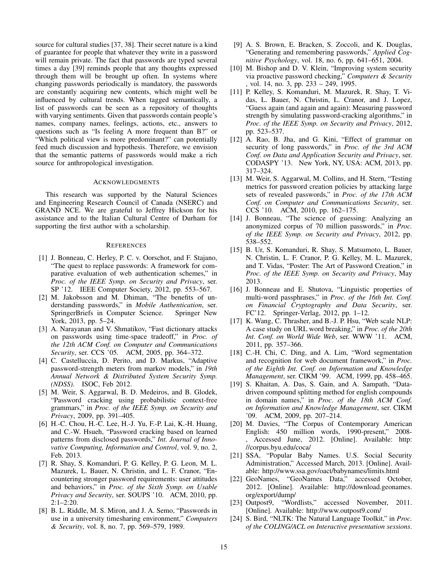source for cultural studies [\[37,](#page-15-12) [38\]](#page-15-13). Their secret nature is a kind of guarantee for people that whatever they write in a password will remain private. The fact that passwords are typed several times a day [\[39\]](#page-15-14) reminds people that any thoughts expressed through them will be brought up often. In systems where changing passwords periodically is mandatory, the passwords are constantly acquiring new contents, which might well be influenced by cultural trends. When tagged semantically, a list of passwords can be seen as a repository of thoughts with varying sentiments. Given that passwords contain people's names, company names, feelings, actions, etc., answers to questions such as "Is feeling A more frequent than B?" or "Which political view is more predominant?" can potentially feed much discussion and hypothesis. Therefore, we envision that the semantic patterns of passwords would make a rich source for anthropological investigation.

### ACKNOWLEDGMENTS

This research was supported by the Natural Sciences and Engineering Research Council of Canada (NSERC) and GRAND NCE. We are grateful to Jeffrey Hickson for his assistance and to the Italian Cultural Centre of Durham for supporting the first author with a scholarship.

## **REFERENCES**

- <span id="page-14-0"></span>[1] J. Bonneau, C. Herley, P. C. v. Oorschot, and F. Stajano, "The quest to replace passwords: A framework for comparative evaluation of web authentication schemes," in *Proc. of the IEEE Symp. on Security and Privacy*, ser. SP '12. IEEE Computer Society, 2012, pp. 553–567.
- <span id="page-14-1"></span>[2] M. Jakobsson and M. Dhiman, "The benefits of understanding passwords," in *Mobile Authentication*, ser. SpringerBriefs in Computer Science. Springer New York, 2013, pp. 5–24.
- <span id="page-14-2"></span>[3] A. Narayanan and V. Shmatikov, "Fast dictionary attacks on passwords using time-space tradeoff," in *Proc. of the 12th ACM Conf. on Computer and Communications Security*, ser. CCS '05. ACM, 2005, pp. 364–372.
- <span id="page-14-3"></span>[4] C. Castelluccia, D. Perito, and D. Markus, "Adaptive password-strength meters from markov models," in *19th Annual Network & Distributed System Security Symp. (NDSS)*. ISOC, Feb 2012.
- <span id="page-14-4"></span>[5] M. Weir, S. Aggarwal, B. D. Medeiros, and B. Glodek, "Password cracking using probabilistic context-free grammars," in *Proc. of the IEEE Symp. on Security and Privacy*, 2009, pp. 391–405.
- <span id="page-14-5"></span>[6] H.-C. Chou, H.-C. Lee, H.-J. Yu, F.-P. Lai, K.-H. Huang, and C.-W. Hsueh, "Password cracking based on learned patterns from disclosed passwords," *Int. Journal of Innovative Computing, Information and Control*, vol. 9, no. 2, Feb. 2013.
- <span id="page-14-6"></span>[7] R. Shay, S. Komanduri, P. G. Kelley, P. G. Leon, M. L. Mazurek, L. Bauer, N. Christin, and L. F. Cranor, "Encountering stronger password requirements: user attitudes and behaviors," in *Proc. of the Sixth Symp. on Usable Privacy and Security*, ser. SOUPS '10. ACM, 2010, pp. 2:1–2:20.
- <span id="page-14-7"></span>[8] B. L. Riddle, M. S. Miron, and J. A. Semo, "Passwords in use in a university timesharing environment," *Computers & Security*, vol. 8, no. 7, pp. 569–579, 1989.
- <span id="page-14-8"></span>[9] A. S. Brown, E. Bracken, S. Zoccoli, and K. Douglas, "Generating and remembering passwords," *Applied Cognitive Psychology*, vol. 18, no. 6, pp. 641–651, 2004.
- <span id="page-14-9"></span>[10] M. Bishop and D. V. Klein, "Improving system security via proactive password checking," *Computers & Security* , vol. 14, no. 3, pp. 233 – 249, 1995.
- <span id="page-14-10"></span>[11] P. Kelley, S. Komanduri, M. Mazurek, R. Shay, T. Vidas, L. Bauer, N. Christin, L. Cranor, and J. Lopez, "Guess again (and again and again): Measuring password strength by simulating password-cracking algorithms," in *Proc. of the IEEE Symp. on Security and Privacy*, 2012, pp. 523–537.
- <span id="page-14-11"></span>[12] A. Rao, B. Jha, and G. Kini, "Effect of grammar on security of long passwords," in *Proc. of the 3rd ACM Conf. on Data and Application Security and Privacy*, ser. CODASPY '13. New York, NY, USA: ACM, 2013, pp. 317–324.
- <span id="page-14-12"></span>[13] M. Weir, S. Aggarwal, M. Collins, and H. Stern, "Testing metrics for password creation policies by attacking large sets of revealed passwords," in *Proc. of the 17th ACM Conf. on Computer and Communications Security*, ser. CCS '10. ACM, 2010, pp. 162–175.
- <span id="page-14-13"></span>[14] J. Bonneau, "The science of guessing: Analyzing an anonymized corpus of 70 million passwords," in *Proc. of the IEEE Symp. on Security and Privacy*, 2012, pp. 538–552.
- <span id="page-14-14"></span>[15] B. Ur, S. Komanduri, R. Shay, S. Matsumoto, L. Bauer, N. Christin, L. F. Cranor, P. G. Kelley, M. L. Mazurek, and T. Vidas, "Poster: The Art of Password Creation," in *Proc. of the IEEE Symp. on Security and Privacy*, May 2013.
- <span id="page-14-15"></span>[16] J. Bonneau and E. Shutova, "Linguistic properties of multi-word passphrases," in *Proc. of the 16th Int. Conf. on Financial Cryptography and Data Security*, ser. FC'12. Springer-Verlag, 2012, pp. 1–12.
- <span id="page-14-16"></span>[17] K. Wang, C. Thrasher, and B.-J. P. Hsu, "Web scale NLP: A case study on URL word breaking," in *Proc. of the 20th Int. Conf. on World Wide Web*, ser. WWW '11. ACM, 2011, pp. 357–366.
- <span id="page-14-17"></span>[18] C.-H. Chi, C. Ding, and A. Lim, "Word segmentation and recognition for web document framework," in *Proc. of the Eighth Int. Conf. on Information and Knowledge Management*, ser. CIKM '99. ACM, 1999, pp. 458–465.
- <span id="page-14-18"></span>[19] S. Khaitan, A. Das, S. Gain, and A. Sampath, "Datadriven compound splitting method for english compounds in domain names," in *Proc. of the 18th ACM Conf. on Information and Knowledge Management*, ser. CIKM '09. ACM, 2009, pp. 207–214.
- <span id="page-14-19"></span>[20] M. Davies, "The Corpus of Contemporary American English: 450 million words, 1990-present," 2008- , Accessed June, 2012. [Online]. Available: [http:](http://corpus.byu.edu/coca/) [//corpus.byu.edu/coca/](http://corpus.byu.edu/coca/)
- <span id="page-14-20"></span>[21] SSA, "Popular Baby Names. U.S. Social Security Administration," Accessed March, 2013. [Online]. Available:<http://www.ssa.gov/oact/babynames/limits.html>
- <span id="page-14-21"></span>[22] GeoNames, "GeoNames Data," accessed October, 2012. [Online]. Available: [http://download.geonames.](http://download.geonames.org/export/dump/) [org/export/dump/](http://download.geonames.org/export/dump/)
- <span id="page-14-22"></span>[23] Outpost9, "Wordlists," accessed November, 2011. [Online]. Available:<http://www.outpost9.com/>
- <span id="page-14-23"></span>[24] S. Bird, "NLTK: The Natural Language Toolkit," in *Proc. of the COLING/ACL on Interactive presentation sessions*.